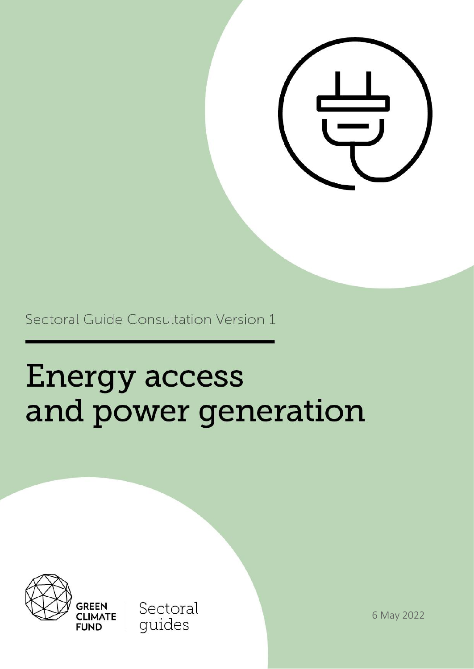

Sectoral Guide Consultation Version 1

# **Energy access** and power generation



**GREEN CLIMATE** 

**FUND** 

Sectoral guides

6 May 2022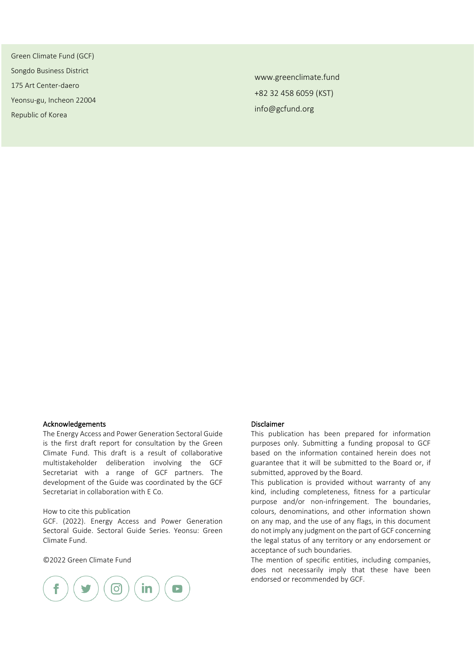Green Climate Fund (GCF) Songdo Business District 175 Art Center-daero Yeonsu-gu, Incheon 22004 Republic of Korea

www.greenclimate.fund +82 32 458 6059 (KST) info@gcfund.org

#### Acknowledgements

The Energy Access and Power Generation Sectoral Guide is the first draft report for consultation by the Green Climate Fund. This draft is a result of collaborative multistakeholder deliberation involving the GCF Secretariat with a range of GCF partners. The development of the Guide was coordinated by the GCF Secretariat in collaboration with E Co.

#### How to cite this publication

GCF. (2022). Energy Access and Power Generation Sectoral Guide. Sectoral Guide Series. Yeonsu: Green Climate Fund.

#### ©2022 Green Climate Fund



#### Disclaimer

This publication has been prepared for information purposes only. Submitting a funding proposal to GCF based on the information contained herein does not guarantee that it will be submitted to the Board or, if submitted, approved by the Board.

This publication is provided without warranty of any kind, including completeness, fitness for a particular purpose and/or non-infringement. The boundaries, colours, denominations, and other information shown on any map, and the use of any flags, in this document do not imply any judgment on the part of GCF concerning the legal status of any territory or any endorsement or acceptance of such boundaries.

The mention of specific entities, including companies, does not necessarily imply that these have been endorsed or recommended by GCF.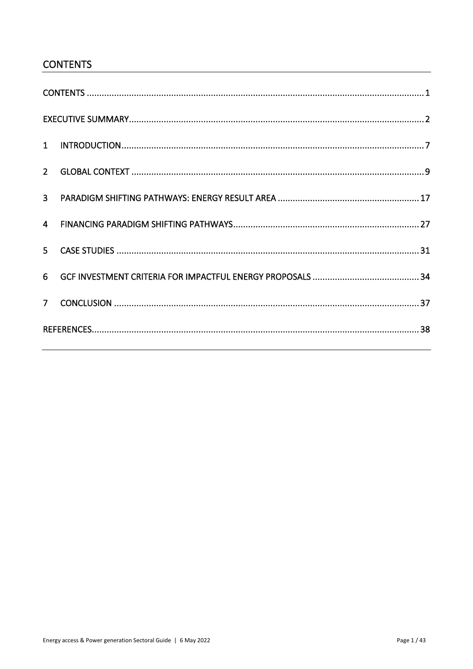# <span id="page-2-0"></span>**CONTENTS**

| $\overline{3}$ |  |
|----------------|--|
| $\overline{4}$ |  |
|                |  |
| 6              |  |
| 7 <sup>1</sup> |  |
|                |  |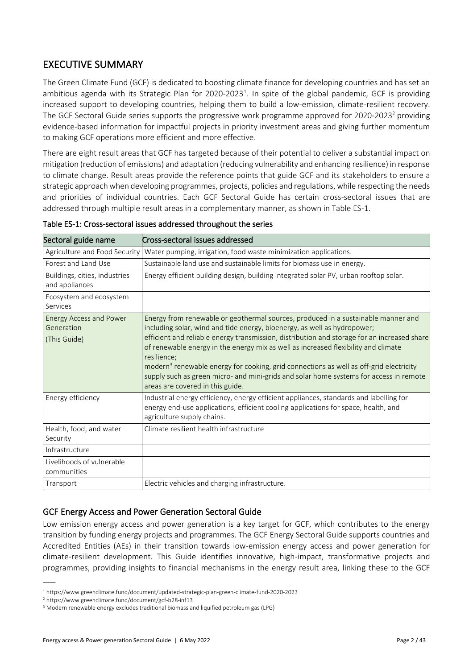# <span id="page-3-0"></span>EXECUTIVE SUMMARY

The Green Climate Fund (GCF) is dedicated to boosting climate finance for developing countries and has set an ambitious agenda with its Strategic Plan for 2020-2023<sup>1</sup>. In spite of the global pandemic, GCF is providing increased support to developing countries, helping them to build a low-emission, climate-resilient recovery. The GCF Sectoral Guide series supports the progressive work programme approved for 2020-2023<sup>2</sup> providing evidence-based information for impactful projects in priority investment areas and giving further momentum to making GCF operations more efficient and more effective.

There are eight result areas that GCF has targeted because of their potential to deliver a substantial impact on mitigation (reduction of emissions) and adaptation (reducing vulnerability and enhancing resilience) in response to climate change. Result areas provide the reference points that guide GCF and its stakeholders to ensure a strategic approach when developing programmes, projects, policies and regulations, while respecting the needs and priorities of individual countries. Each GCF Sectoral Guide has certain cross-sectoral issues that are addressed through multiple result areas in a complementary manner, as shown in Table ES-1.

| Sectoral guide name                                          | Cross-sectoral issues addressed                                                                                                                                                                                                                                                                                                                                                                                                                                                                                                                                                                       |
|--------------------------------------------------------------|-------------------------------------------------------------------------------------------------------------------------------------------------------------------------------------------------------------------------------------------------------------------------------------------------------------------------------------------------------------------------------------------------------------------------------------------------------------------------------------------------------------------------------------------------------------------------------------------------------|
| Agriculture and Food Security                                | Water pumping, irrigation, food waste minimization applications.                                                                                                                                                                                                                                                                                                                                                                                                                                                                                                                                      |
| Forest and Land Use                                          | Sustainable land use and sustainable limits for biomass use in energy.                                                                                                                                                                                                                                                                                                                                                                                                                                                                                                                                |
| Buildings, cities, industries<br>and appliances              | Energy efficient building design, building integrated solar PV, urban rooftop solar.                                                                                                                                                                                                                                                                                                                                                                                                                                                                                                                  |
| Ecosystem and ecosystem<br>Services                          |                                                                                                                                                                                                                                                                                                                                                                                                                                                                                                                                                                                                       |
| <b>Energy Access and Power</b><br>Generation<br>(This Guide) | Energy from renewable or geothermal sources, produced in a sustainable manner and<br>including solar, wind and tide energy, bioenergy, as well as hydropower;<br>efficient and reliable energy transmission, distribution and storage for an increased share<br>of renewable energy in the energy mix as well as increased flexibility and climate<br>resilience:<br>modern <sup>3</sup> renewable energy for cooking, grid connections as well as off-grid electricity<br>supply such as green micro- and mini-grids and solar home systems for access in remote<br>areas are covered in this guide. |
| Energy efficiency                                            | Industrial energy efficiency, energy efficient appliances, standards and labelling for<br>energy end-use applications, efficient cooling applications for space, health, and<br>agriculture supply chains.                                                                                                                                                                                                                                                                                                                                                                                            |
| Health, food, and water<br>Security                          | Climate resilient health infrastructure                                                                                                                                                                                                                                                                                                                                                                                                                                                                                                                                                               |
| Infrastructure                                               |                                                                                                                                                                                                                                                                                                                                                                                                                                                                                                                                                                                                       |
| Livelihoods of vulnerable<br>communities                     |                                                                                                                                                                                                                                                                                                                                                                                                                                                                                                                                                                                                       |
| Transport                                                    | Electric vehicles and charging infrastructure.                                                                                                                                                                                                                                                                                                                                                                                                                                                                                                                                                        |

|  | Table ES-1: Cross-sectoral issues addressed throughout the series |
|--|-------------------------------------------------------------------|
|--|-------------------------------------------------------------------|

#### GCF Energy Access and Power Generation Sectoral Guide

Low emission energy access and power generation is a key target for GCF, which contributes to the energy transition by funding energy projects and programmes. The GCF Energy Sectoral Guide supports countries and Accredited Entities (AEs) in their transition towards low-emission energy access and power generation for climate-resilient development. This Guide identifies innovative, high-impact, transformative projects and programmes, providing insights to financial mechanisms in the energy result area, linking these to the GCF

<sup>1</sup> https://www.greenclimate.fund/document/updated-strategic-plan-green-climate-fund-2020-2023

<sup>2</sup> https://www.greenclimate.fund/document/gcf-b28-inf13

<sup>3</sup> Modern renewable energy excludes traditional biomass and liquified petroleum gas (LPG)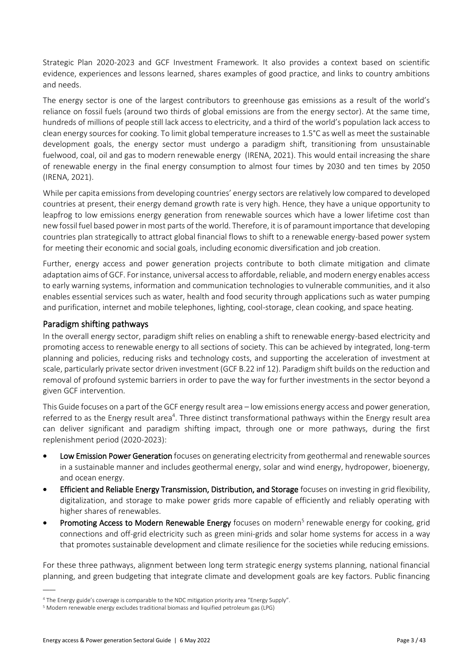Strategic Plan 2020-2023 and GCF Investment Framework. It also provides a context based on scientific evidence, experiences and lessons learned, shares examples of good practice, and links to country ambitions and needs.

The energy sector is one of the largest contributors to greenhouse gas emissions as a result of the world's reliance on fossil fuels (around two thirds of global emissions are from the energy sector). At the same time, hundreds of millions of people still lack access to electricity, and a third of the world's population lack access to clean energy sources for cooking. To limit global temperature increases to 1.5°C as well as meet the sustainable development goals, the energy sector must undergo a paradigm shift, transitioning from unsustainable fuelwood, coal, oil and gas to modern renewable energy (IRENA, 2021). This would entail increasing the share of renewable energy in the final energy consumption to almost four times by 2030 and ten times by 2050 (IRENA, 2021).

While per capita emissions from developing countries' energy sectors are relatively low compared to developed countries at present, their energy demand growth rate is very high. Hence, they have a unique opportunity to leapfrog to low emissions energy generation from renewable sources which have a lower lifetime cost than new fossil fuel based power in most parts of the world. Therefore, it is of paramount importance that developing countries plan strategically to attract global financial flows to shift to a renewable energy-based power system for meeting their economic and social goals, including economic diversification and job creation.

Further, energy access and power generation projects contribute to both climate mitigation and climate adaptation aims of GCF. For instance, universal access to affordable, reliable, and modern energy enables access to early warning systems, information and communication technologies to vulnerable communities, and it also enables essential services such as water, health and food security through applications such as water pumping and purification, internet and mobile telephones, lighting, cool-storage, clean cooking, and space heating.

#### Paradigm shifting pathways

In the overall energy sector, paradigm shift relies on enabling a shift to renewable energy-based electricity and promoting access to renewable energy to all sections of society. This can be achieved by integrated, long-term planning and policies, reducing risks and technology costs, and supporting the acceleration of investment at scale, particularly private sector driven investment (GCF B.22 inf 12). Paradigm shift builds on the reduction and removal of profound systemic barriers in order to pave the way for further investments in the sector beyond a given GCF intervention.

This Guide focuses on a part of the GCF energy result area – low emissions energy access and power generation, referred to as the Energy result area<sup>4</sup>. Three distinct transformational pathways within the Energy result area can deliver significant and paradigm shifting impact, through one or more pathways, during the first replenishment period (2020-2023):

- Low Emission Power Generation focuses on generating electricity from geothermal and renewable sources in a sustainable manner and includes geothermal energy, solar and wind energy, hydropower, bioenergy, and ocean energy.
- **Efficient and Reliable Energy Transmission, Distribution, and Storage** focuses on investing in grid flexibility, digitalization, and storage to make power grids more capable of efficiently and reliably operating with higher shares of renewables.
- Promoting Access to Modern Renewable Energy focuses on modern<sup>5</sup> renewable energy for cooking, grid connections and off-grid electricity such as green mini-grids and solar home systems for access in a way that promotes sustainable development and climate resilience for the societies while reducing emissions.

For these three pathways, alignment between long term strategic energy systems planning, national financial planning, and green budgeting that integrate climate and development goals are key factors. Public financing

<sup>4</sup> The Energy guide's coverage is comparable to the NDC mitigation priority area "Energy Supply".

<sup>5</sup> Modern renewable energy excludes traditional biomass and liquified petroleum gas (LPG)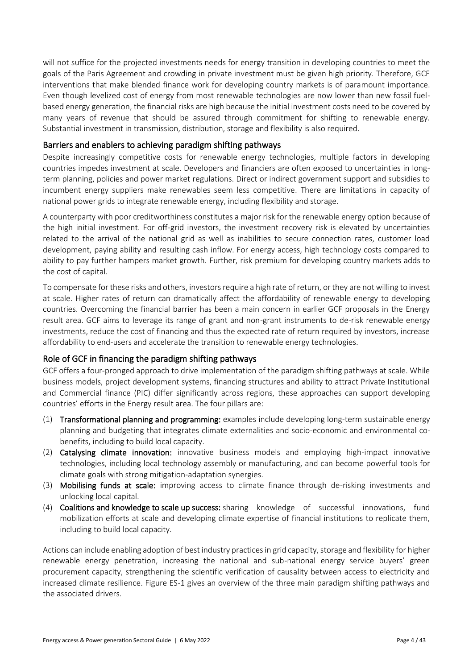will not suffice for the projected investments needs for energy transition in developing countries to meet the goals of the Paris Agreement and crowding in private investment must be given high priority. Therefore, GCF interventions that make blended finance work for developing country markets is of paramount importance. Even though levelized cost of energy from most renewable technologies are now lower than new fossil fuelbased energy generation, the financial risks are high because the initial investment costs need to be covered by many years of revenue that should be assured through commitment for shifting to renewable energy. Substantial investment in transmission, distribution, storage and flexibility is also required.

#### Barriers and enablers to achieving paradigm shifting pathways

Despite increasingly competitive costs for renewable energy technologies, multiple factors in developing countries impedes investment at scale. Developers and financiers are often exposed to uncertainties in longterm planning, policies and power market regulations. Direct or indirect government support and subsidies to incumbent energy suppliers make renewables seem less competitive. There are limitations in capacity of national power grids to integrate renewable energy, including flexibility and storage.

A counterparty with poor creditworthiness constitutes a major risk for the renewable energy option because of the high initial investment. For off-grid investors, the investment recovery risk is elevated by uncertainties related to the arrival of the national grid as well as inabilities to secure connection rates, customer load development, paying ability and resulting cash inflow. For energy access, high technology costs compared to ability to pay further hampers market growth. Further, risk premium for developing country markets adds to the cost of capital.

To compensate for these risks and others, investors require a high rate of return, or they are not willing to invest at scale. Higher rates of return can dramatically affect the affordability of renewable energy to developing countries. Overcoming the financial barrier has been a main concern in earlier GCF proposals in the Energy result area. GCF aims to leverage its range of grant and non-grant instruments to de-risk renewable energy investments, reduce the cost of financing and thus the expected rate of return required by investors, increase affordability to end-users and accelerate the transition to renewable energy technologies.

#### Role of GCF in financing the paradigm shifting pathways

GCF offers a four-pronged approach to drive implementation of the paradigm shifting pathways at scale. While business models, project development systems, financing structures and ability to attract Private Institutional and Commercial finance (PIC) differ significantly across regions, these approaches can support developing countries' efforts in the Energy result area. The four pillars are:

- (1) Transformational planning and programming: examples include developing long-term sustainable energy planning and budgeting that integrates climate externalities and socio-economic and environmental cobenefits, including to build local capacity.
- (2) Catalysing climate innovation: innovative business models and employing high-impact innovative technologies, including local technology assembly or manufacturing, and can become powerful tools for climate goals with strong mitigation-adaptation synergies.
- (3) Mobilising funds at scale: improving access to climate finance through de-risking investments and unlocking local capital.
- (4) Coalitions and knowledge to scale up success: sharing knowledge of successful innovations, fund mobilization efforts at scale and developing climate expertise of financial institutions to replicate them, including to build local capacity.

Actions can include enabling adoption of best industry practices in grid capacity, storage and flexibility for higher renewable energy penetration, increasing the national and sub-national energy service buyers' green procurement capacity, strengthening the scientific verification of causality between access to electricity and increased climate resilience. Figure ES-1 gives an overview of the three main paradigm shifting pathways and the associated drivers.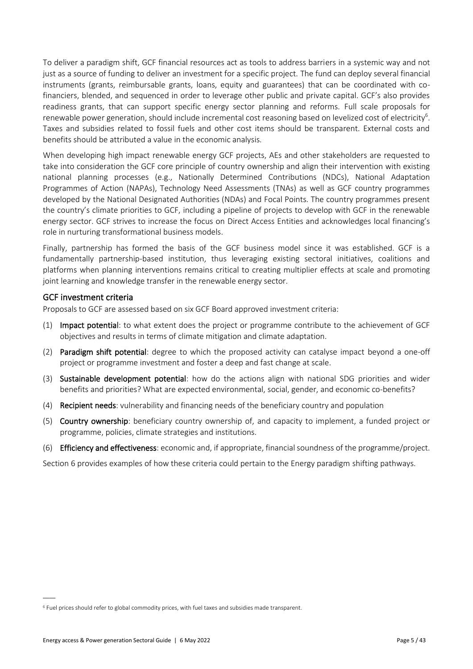To deliver a paradigm shift, GCF financial resources act as tools to address barriers in a systemic way and not just as a source of funding to deliver an investment for a specific project. The fund can deploy several financial instruments (grants, reimbursable grants, loans, equity and guarantees) that can be coordinated with cofinanciers, blended, and sequenced in order to leverage other public and private capital. GCF's also provides readiness grants, that can support specific energy sector planning and reforms. Full scale proposals for renewable power generation, should include incremental cost reasoning based on levelized cost of electricity<sup>6</sup>. Taxes and subsidies related to fossil fuels and other cost items should be transparent. External costs and benefits should be attributed a value in the economic analysis.

When developing high impact renewable energy GCF projects, AEs and other stakeholders are requested to take into consideration the GCF core principle of country ownership and align their intervention with existing national planning processes (e.g., Nationally Determined Contributions (NDCs), National Adaptation Programmes of Action (NAPAs), Technology Need Assessments (TNAs) as well as GCF country programmes developed by the National Designated Authorities (NDAs) and Focal Points. The country programmes present the country's climate priorities to GCF, including a pipeline of projects to develop with GCF in the renewable energy sector. GCF strives to increase the focus on Direct Access Entities and acknowledges local financing's role in nurturing transformational business models.

Finally, partnership has formed the basis of the GCF business model since it was established. GCF is a fundamentally partnership-based institution, thus leveraging existing sectoral initiatives, coalitions and platforms when planning interventions remains critical to creating multiplier effects at scale and promoting joint learning and knowledge transfer in the renewable energy sector.

#### GCF investment criteria

Proposals to GCF are assessed based on six GCF Board approved investment criteria:

- (1) Impact potential: to what extent does the project or programme contribute to the achievement of GCF objectives and results in terms of climate mitigation and climate adaptation.
- (2) Paradigm shift potential: degree to which the proposed activity can catalyse impact beyond a one-off project or programme investment and foster a deep and fast change at scale.
- (3) Sustainable development potential: how do the actions align with national SDG priorities and wider benefits and priorities? What are expected environmental, social, gender, and economic co-benefits?
- (4) Recipient needs: vulnerability and financing needs of the beneficiary country and population
- (5) Country ownership: beneficiary country ownership of, and capacity to implement, a funded project or programme, policies, climate strategies and institutions.
- (6) Efficiency and effectiveness: economic and, if appropriate, financial soundness of the programme/project.

Section 6 provides examples of how these criteria could pertain to the Energy paradigm shifting pathways.

<sup>6</sup> Fuel prices should refer to global commodity prices, with fuel taxes and subsidies made transparent.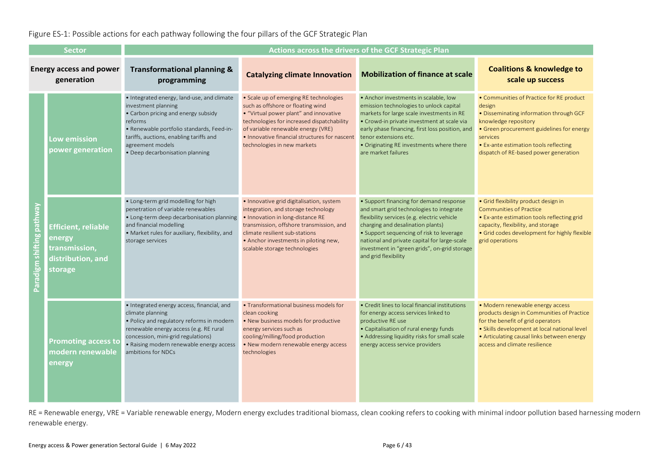#### Figure ES-1: Possible actions for each pathway following the four pillars of the GCF Strategic Plan

| <b>Sector</b>                                                                                                                                                                                     |                                                                                       | Actions across the drivers of the GCF Strategic Plan                                                                                                                                                                                                               |                                                                                                                                                                                                                                                                                           |                                                                                                                                                                                                                                                                                                                                             |                                                                                                                                                                                                                                                                  |
|---------------------------------------------------------------------------------------------------------------------------------------------------------------------------------------------------|---------------------------------------------------------------------------------------|--------------------------------------------------------------------------------------------------------------------------------------------------------------------------------------------------------------------------------------------------------------------|-------------------------------------------------------------------------------------------------------------------------------------------------------------------------------------------------------------------------------------------------------------------------------------------|---------------------------------------------------------------------------------------------------------------------------------------------------------------------------------------------------------------------------------------------------------------------------------------------------------------------------------------------|------------------------------------------------------------------------------------------------------------------------------------------------------------------------------------------------------------------------------------------------------------------|
| <b>Energy access and power</b><br>generation                                                                                                                                                      |                                                                                       | <b>Transformational planning &amp;</b><br>programming                                                                                                                                                                                                              | <b>Catalyzing climate Innovation</b>                                                                                                                                                                                                                                                      | <b>Mobilization of finance at scale</b>                                                                                                                                                                                                                                                                                                     | <b>Coalitions &amp; knowledge to</b><br>scale up success                                                                                                                                                                                                         |
|                                                                                                                                                                                                   | Low emission<br>power generation                                                      | • Integrated energy, land-use, and climate<br>investment planning<br>• Carbon pricing and energy subsidy<br>reforms<br>· Renewable portfolio standards, Feed-in-<br>tariffs, auctions, enabling tariffs and<br>agreement models<br>• Deep decarbonisation planning | • Scale up of emerging RE technologies<br>such as offshore or floating wind<br>• "Virtual power plant" and innovative<br>technologies for increased dispatchability<br>of variable renewable energy (VRE)<br>• Innovative financial structures for nascent<br>technologies in new markets | • Anchor investments in scalable, low<br>emission technologies to unlock capital<br>markets for large scale investments in RE<br>• Crowd-in private investment at scale via<br>early phase financing, first loss position, and<br>tenor extensions etc.<br>• Originating RE investments where there<br>are market failures                  | • Communities of Practice for RE product<br>design<br>. Disseminating information through GCF<br>knowledge repository<br>• Green procurement guidelines for energy<br>services<br>• Ex-ante estimation tools reflecting<br>dispatch of RE-based power generation |
| Paradigm shifting pathwa                                                                                                                                                                          | <b>Efficient, reliable</b><br>energy<br>transmission,<br>distribution, and<br>storage | • Long-term grid modelling for high<br>penetration of variable renewables<br>• Long-term deep decarbonisation planning<br>and financial modelling<br>• Market rules for auxiliary, flexibility, and<br>storage services                                            | · Innovative grid digitalisation, system<br>integration, and storage technology<br>• Innovation in long-distance RE<br>transmission, offshore transmission, and<br>climate resilient sub-stations<br>• Anchor investments in piloting new,<br>scalable storage technologies               | • Support financing for demand response<br>and smart grid technologies to integrate<br>flexibility services (e.g. electric vehicle<br>charging and desalination plants)<br>• Support sequencing of risk to leverage<br>national and private capital for large-scale<br>investment in "green grids", on-grid storage<br>and grid flexibility | • Grid flexibility product design in<br><b>Communities of Practice</b><br>• Ex-ante estimation tools reflecting grid<br>capacity, flexibility, and storage<br>· Grid codes development for highly flexible<br>grid operations                                    |
|                                                                                                                                                                                                   | <b>Promoting access to</b><br>modern renewable<br>energy                              | • Integrated energy access, financial, and<br>climate planning<br>. Policy and regulatory reforms in modern<br>renewable energy access (e.g. RE rural<br>concession, mini-grid regulations)<br>• Raising modern renewable energy access<br>ambitions for NDCs      | • Transformational business models for<br>clean cooking<br>• New business models for productive<br>energy services such as<br>cooling/milling/food production<br>• New modern renewable energy access<br>technologies                                                                     | • Credit lines to local financial institutions<br>for energy access services linked to<br>productive RE use<br>• Capitalisation of rural energy funds<br>• Addressing liquidity risks for small scale<br>energy access service providers                                                                                                    | • Modern renewable energy access<br>products design in Communities of Practice<br>for the benefit of grid operators<br>• Skills development at local national level<br>• Articulating causal links between energy<br>access and climate resilience               |
| RE = Renewable energy, VRE = Variable renewable energy, Modern energy excludes traditional biomass, clean cooking refers to cooking with minimal indoor pollution based harn<br>renewable energy. |                                                                                       |                                                                                                                                                                                                                                                                    |                                                                                                                                                                                                                                                                                           |                                                                                                                                                                                                                                                                                                                                             |                                                                                                                                                                                                                                                                  |

RE = Renewable energy, VRE = Variable renewable energy, Modern energy excludes traditional biomass, clean cooking refers to cooking with minimal indoor pollution based harnessing modern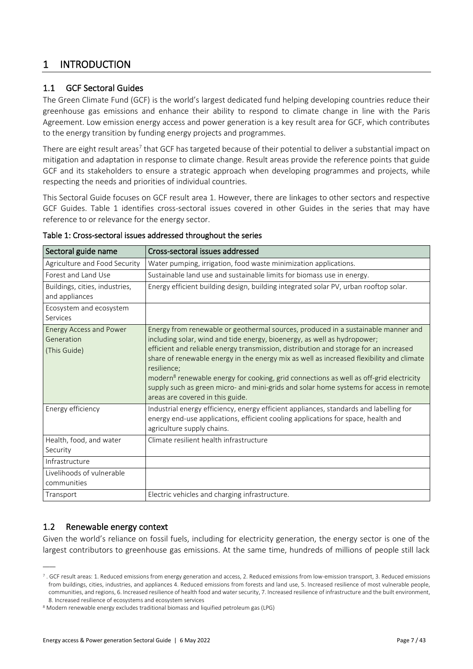## <span id="page-8-0"></span>1 INTRODUCTION

#### 1.1 GCF Sectoral Guides

The Green Climate Fund (GCF) is the world's largest dedicated fund helping developing countries reduce their greenhouse gas emissions and enhance their ability to respond to climate change in line with the Paris Agreement. Low emission energy access and power generation is a key result area for GCF, which contributes to the energy transition by funding energy projects and programmes.

There are eight result areas<sup>7</sup> that GCF has targeted because of their potential to deliver a substantial impact on mitigation and adaptation in response to climate change. Result areas provide the reference points that guide GCF and its stakeholders to ensure a strategic approach when developing programmes and projects, while respecting the needs and priorities of individual countries.

This Sectoral Guide focuses on GCF result area 1. However, there are linkages to other sectors and respective GCF Guides. [Table 1](#page-8-1) identifies cross-sectoral issues covered in other Guides in the series that may have reference to or relevance for the energy sector.

| Sectoral guide name                                          | Cross-sectoral issues addressed                                                                                                                                                                                                                                                                                                                                                                                                                                                                                                                                                                       |
|--------------------------------------------------------------|-------------------------------------------------------------------------------------------------------------------------------------------------------------------------------------------------------------------------------------------------------------------------------------------------------------------------------------------------------------------------------------------------------------------------------------------------------------------------------------------------------------------------------------------------------------------------------------------------------|
| Agriculture and Food Security                                | Water pumping, irrigation, food waste minimization applications.                                                                                                                                                                                                                                                                                                                                                                                                                                                                                                                                      |
| Forest and Land Use                                          | Sustainable land use and sustainable limits for biomass use in energy.                                                                                                                                                                                                                                                                                                                                                                                                                                                                                                                                |
| Buildings, cities, industries,<br>and appliances             | Energy efficient building design, building integrated solar PV, urban rooftop solar.                                                                                                                                                                                                                                                                                                                                                                                                                                                                                                                  |
| Ecosystem and ecosystem<br>Services                          |                                                                                                                                                                                                                                                                                                                                                                                                                                                                                                                                                                                                       |
| <b>Energy Access and Power</b><br>Generation<br>(This Guide) | Energy from renewable or geothermal sources, produced in a sustainable manner and<br>including solar, wind and tide energy, bioenergy, as well as hydropower;<br>efficient and reliable energy transmission, distribution and storage for an increased<br>share of renewable energy in the energy mix as well as increased flexibility and climate<br>resilience:<br>modern <sup>8</sup> renewable energy for cooking, grid connections as well as off-grid electricity<br>supply such as green micro- and mini-grids and solar home systems for access in remote<br>areas are covered in this guide. |
| Energy efficiency                                            | Industrial energy efficiency, energy efficient appliances, standards and labelling for<br>energy end-use applications, efficient cooling applications for space, health and<br>agriculture supply chains.                                                                                                                                                                                                                                                                                                                                                                                             |
| Health, food, and water<br>Security                          | Climate resilient health infrastructure                                                                                                                                                                                                                                                                                                                                                                                                                                                                                                                                                               |
| Infrastructure                                               |                                                                                                                                                                                                                                                                                                                                                                                                                                                                                                                                                                                                       |
| Livelihoods of vulnerable<br>communities                     |                                                                                                                                                                                                                                                                                                                                                                                                                                                                                                                                                                                                       |
| Transport                                                    | Electric vehicles and charging infrastructure.                                                                                                                                                                                                                                                                                                                                                                                                                                                                                                                                                        |

#### <span id="page-8-1"></span>Table 1: Cross-sectoral issues addressed throughout the series

#### 1.2 Renewable energy context

 $\overline{\phantom{a}}$ 

Given the world's reliance on fossil fuels, including for electricity generation, the energy sector is one of the largest contributors to greenhouse gas emissions. At the same time, hundreds of millions of people still lack

 $^7$  . GCF result areas: 1. Reduced emissions from energy generation and access, 2. Reduced emissions from low-emission transport, 3. Reduced emissions from buildings, cities, industries, and appliances 4. Reduced emissions from forests and land use, 5. Increased resilience of most vulnerable people, communities, and regions, 6. Increased resilience of health food and water security, 7. Increased resilience of infrastructure and the built environment, 8. Increased resilience of ecosystems and ecosystem services

<sup>8</sup> Modern renewable energy excludes traditional biomass and liquified petroleum gas (LPG)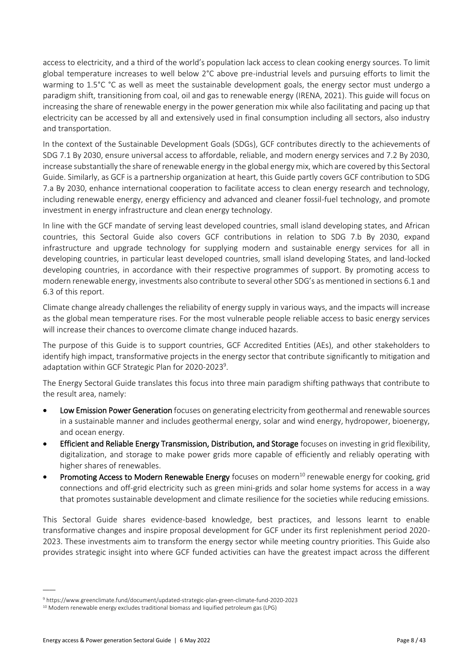access to electricity, and a third of the world's population lack access to clean cooking energy sources. To limit global temperature increases to well below 2°C above pre-industrial levels and pursuing efforts to limit the warming to 1.5°C °C as well as meet the sustainable development goals, the energy sector must undergo a paradigm shift, transitioning from coal, oil and gas to renewable energy (IRENA, 2021). This guide will focus on increasing the share of renewable energy in the power generation mix while also facilitating and pacing up that electricity can be accessed by all and extensively used in final consumption including all sectors, also industry and transportation.

In the context of the Sustainable Development Goals (SDGs), GCF contributes directly to the achievements of SDG 7.1 By 2030, ensure universal access to affordable, reliable, and modern energy services and 7.2 By 2030, increase substantially the share of renewable energy in the global energy mix, which are covered by this Sectoral Guide. Similarly, as GCF is a partnership organization at heart, this Guide partly covers GCF contribution to SDG 7.a By 2030, enhance international cooperation to facilitate access to clean energy research and technology, including renewable energy, energy efficiency and advanced and cleaner fossil-fuel technology, and promote investment in energy infrastructure and clean energy technology.

In line with the GCF mandate of serving least developed countries, small island developing states, and African countries, this Sectoral Guide also covers GCF contributions in relation to SDG 7.b By 2030, expand infrastructure and upgrade technology for supplying modern and sustainable energy services for all in developing countries, in particular least developed countries, small island developing States, and land-locked developing countries, in accordance with their respective programmes of support. By promoting access to modern renewable energy, investments also contribute to several other SDG's as mentioned in sections 6.1 and 6.3 of this report.

Climate change already challenges the reliability of energy supply in various ways, and the impacts will increase as the global mean temperature rises. For the most vulnerable people reliable access to basic energy services will increase their chances to overcome climate change induced hazards.

The purpose of this Guide is to support countries, GCF Accredited Entities (AEs), and other stakeholders to identify high impact, transformative projects in the energy sector that contribute significantly to mitigation and adaptation within GCF Strategic Plan for 2020-2023<sup>9</sup>.

The Energy Sectoral Guide translates this focus into three main paradigm shifting pathways that contribute to the result area, namely:

- Low Emission Power Generation focuses on generating electricity from geothermal and renewable sources in a sustainable manner and includes geothermal energy, solar and wind energy, hydropower, bioenergy, and ocean energy.
- **Efficient and Reliable Energy Transmission, Distribution, and Storage** focuses on investing in grid flexibility, digitalization, and storage to make power grids more capable of efficiently and reliably operating with higher shares of renewables.
- Promoting Access to Modern Renewable Energy focuses on modern<sup>10</sup> renewable energy for cooking, grid connections and off-grid electricity such as green mini-grids and solar home systems for access in a way that promotes sustainable development and climate resilience for the societies while reducing emissions.

This Sectoral Guide shares evidence-based knowledge, best practices, and lessons learnt to enable transformative changes and inspire proposal development for GCF under its first replenishment period 2020- 2023. These investments aim to transform the energy sector while meeting country priorities. This Guide also provides strategic insight into where GCF funded activities can have the greatest impact across the different

<sup>9</sup> https://www.greenclimate.fund/document/updated-strategic-plan-green-climate-fund-2020-2023

<sup>&</sup>lt;sup>10</sup> Modern renewable energy excludes traditional biomass and liquified petroleum gas (LPG)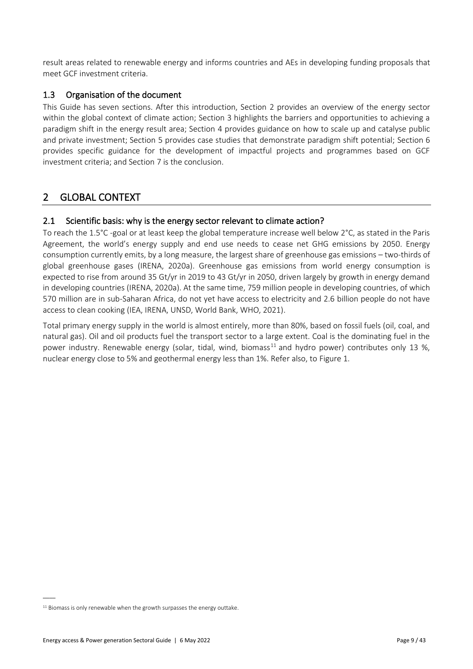result areas related to renewable energy and informs countries and AEs in developing funding proposals that meet GCF investment criteria.

#### 1.3 Organisation of the document

This Guide has seven sections. After this introduction, Section [2](#page-10-0) provides an overview of the energy sector within the global context of climate action; Section 3 highlights the barriers and opportunities to achieving a paradigm shift in the energy result area; Section [4](#page-28-0) provides guidance on how to scale up and catalyse public and private investment; Section [5](#page-32-0) provides case studies that demonstrate paradigm shift potential; Section 6 provides specific guidance for the development of impactful projects and programmes based on GCF investment criteria; and Section [7](#page-38-0) is the conclusion.

## <span id="page-10-0"></span>2 GLOBAL CONTEXT

#### 2.1 Scientific basis: why is the energy sector relevant to climate action?

To reach the 1.5°C -goal or at least keep the global temperature increase well below 2°C, as stated in the Paris Agreement, the world's energy supply and end use needs to cease net GHG emissions by 2050. Energy consumption currently emits, by a long measure, the largest share of greenhouse gas emissions – two-thirds of global greenhouse gases (IRENA, 2020a). Greenhouse gas emissions from world energy consumption is expected to rise from around 35 Gt/yr in 2019 to 43 Gt/yr in 2050, driven largely by growth in energy demand in developing countries (IRENA, 2020a). At the same time, 759 million people in developing countries, of which 570 million are in sub-Saharan Africa, do not yet have access to electricity and 2.6 billion people do not have access to clean cooking (IEA, IRENA, UNSD, World Bank, WHO, 2021).

Total primary energy supply in the world is almost entirely, more than 80%, based on fossil fuels (oil, coal, and natural gas). Oil and oil products fuel the transport sector to a large extent. Coal is the dominating fuel in the power industry. Renewable energy (solar, tidal, wind, biomass<sup>11</sup> and hydro power) contributes only 13 %, nuclear energy close to 5% and geothermal energy less than 1%. Refer also, t[o Figure 1.](#page-11-0)

 $11$  Biomass is only renewable when the growth surpasses the energy outtake.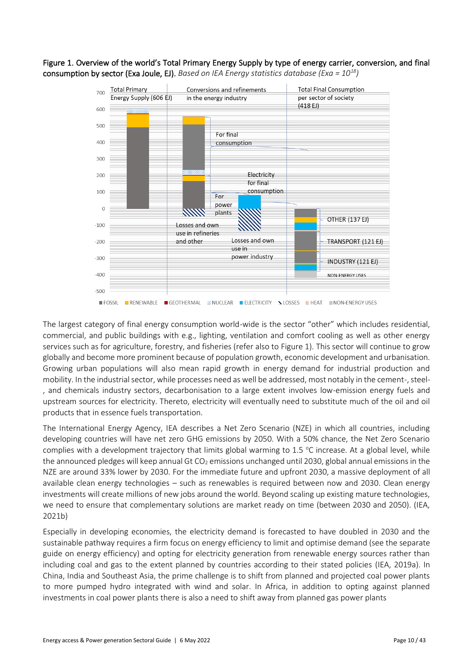<span id="page-11-0"></span>



The largest category of final energy consumption world-wide is the sector "other" which includes residential, commercial, and public buildings with e.g., lighting, ventilation and comfort cooling as well as other energy services such as for agriculture, forestry, and fisheries (refer also to [Figure 1\)](#page-11-0). This sector will continue to grow globally and become more prominent because of population growth, economic development and urbanisation. Growing urban populations will also mean rapid growth in energy demand for industrial production and mobility. In the industrial sector, while processes need as well be addressed, most notably in the cement-, steel- , and chemicals industry sectors, decarbonisation to a large extent involves low-emission energy fuels and upstream sources for electricity. Thereto, electricity will eventually need to substitute much of the oil and oil products that in essence fuels transportation.

The International Energy Agency, IEA describes a Net Zero Scenario (NZE) in which all countries, including developing countries will have net zero GHG emissions by 2050. With a 50% chance, the Net Zero Scenario complies with a development trajectory that limits global warming to 1.5  $^{\circ}$ C increase. At a global level, while the announced pledges will keep annual Gt  $CO<sub>2</sub>$  emissions unchanged until 2030, global annual emissions in the NZE are around 33% lower by 2030. For the immediate future and upfront 2030, a massive deployment of all available clean energy technologies – such as renewables is required between now and 2030. Clean energy investments will create millions of new jobs around the world. Beyond scaling up existing mature technologies, we need to ensure that complementary solutions are market ready on time (between 2030 and 2050). (IEA, 2021b)

Especially in developing economies, the electricity demand is forecasted to have doubled in 2030 and the sustainable pathway requires a firm focus on energy efficiency to limit and optimise demand (see the separate guide on energy efficiency) and opting for electricity generation from renewable energy sources rather than including coal and gas to the extent planned by countries according to their stated policies (IEA, 2019a). In China, India and Southeast Asia, the prime challenge is to shift from planned and projected coal power plants to more pumped hydro integrated with wind and solar. In Africa, in addition to opting against planned investments in coal power plants there is also a need to shift away from planned gas power plants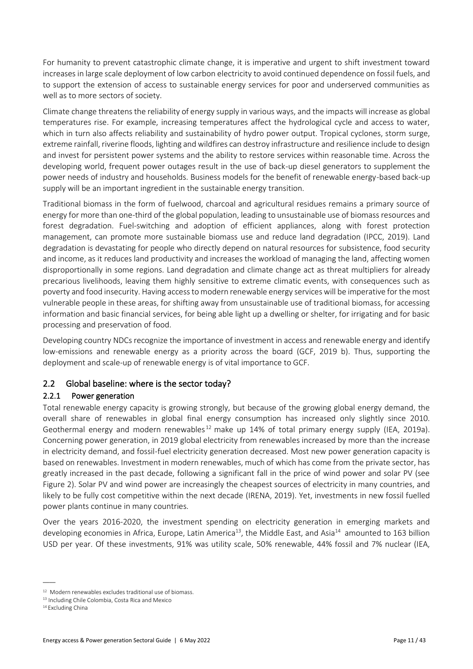For humanity to prevent catastrophic climate change, it is imperative and urgent to shift investment toward increases in large scale deployment of low carbon electricity to avoid continued dependence on fossil fuels, and to support the extension of access to sustainable energy services for poor and underserved communities as well as to more sectors of society.

Climate change threatens the reliability of energy supply in various ways, and the impacts will increase as global temperatures rise. For example, increasing temperatures affect the hydrological cycle and access to water, which in turn also affects reliability and sustainability of hydro power output. Tropical cyclones, storm surge, extreme rainfall, riverine floods, lighting and wildfires can destroy infrastructure and resilience include to design and invest for persistent power systems and the ability to restore services within reasonable time. Across the developing world, frequent power outages result in the use of back-up diesel generators to supplement the power needs of industry and households. Business models for the benefit of renewable energy-based back-up supply will be an important ingredient in the sustainable energy transition.

Traditional biomass in the form of fuelwood, charcoal and agricultural residues remains a primary source of energy for more than one-third of the global population, leading to unsustainable use of biomass resources and forest degradation. Fuel-switching and adoption of efficient appliances, along with forest protection management, can promote more sustainable biomass use and reduce land degradation (IPCC, 2019). Land degradation is devastating for people who directly depend on natural resources for subsistence, food security and income, as it reduces land productivity and increases the workload of managing the land, affecting women disproportionally in some regions. Land degradation and climate change act as threat multipliers for already precarious livelihoods, leaving them highly sensitive to extreme climatic events, with consequences such as poverty and food insecurity. Having access to modern renewable energy services will be imperative for the most vulnerable people in these areas, for shifting away from unsustainable use of traditional biomass, for accessing information and basic financial services, for being able light up a dwelling or shelter, for irrigating and for basic processing and preservation of food.

Developing country NDCs recognize the importance of investment in access and renewable energy and identify low-emissions and renewable energy as a priority across the board (GCF, 2019 b). Thus, supporting the deployment and scale-up of renewable energy is of vital importance to GCF.

## 2.2 Global baseline: where is the sector today?

## 2.2.1 Power generation

Total renewable energy capacity is growing strongly, but because of the growing global energy demand, the overall share of renewables in global final energy consumption has increased only slightly since 2010. Geothermal energy and modern renewables<sup>12</sup> make up 14% of total primary energy supply (IEA, 2019a). Concerning power generation, in 2019 global electricity from renewables increased by more than the increase in electricity demand, and fossil-fuel electricity generation decreased. Most new power generation capacity is based on renewables. Investment in modern renewables, much of which has come from the private sector, has greatly increased in the past decade, following a significant fall in the price of wind power and solar PV (see [Figure 2\)](#page-14-0). Solar PV and wind power are increasingly the cheapest sources of electricity in many countries, and likely to be fully cost competitive within the next decade (IRENA, 2019). Yet, investments in new fossil fuelled power plants continue in many countries.

Over the years 2016-2020, the investment spending on electricity generation in emerging markets and developing economies in Africa, Europe, Latin America<sup>13</sup>, the Middle East, and Asia<sup>14</sup> amounted to 163 billion USD per year. Of these investments, 91% was utility scale, 50% renewable, 44% fossil and 7% nuclear (IEA,

<sup>12</sup> Modern renewables excludes traditional use of biomass.

<sup>13</sup> Including Chile Colombia, Costa Rica and Mexico

<sup>&</sup>lt;sup>14</sup> Excluding China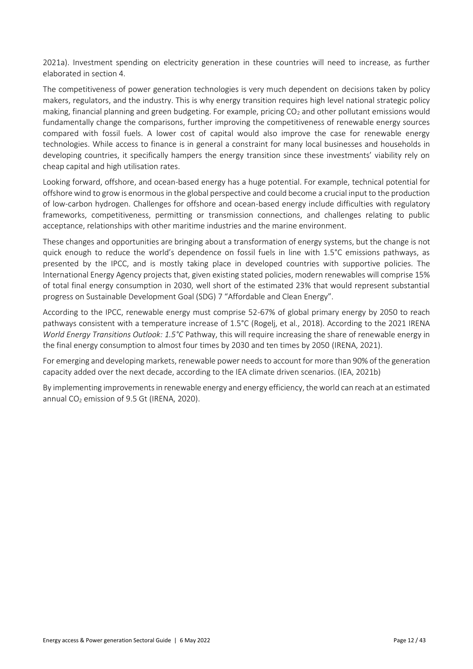2021a). Investment spending on electricity generation in these countries will need to increase, as further elaborated in section 4.

The competitiveness of power generation technologies is very much dependent on decisions taken by policy makers, regulators, and the industry. This is why energy transition requires high level national strategic policy making, financial planning and green budgeting. For example, pricing CO<sub>2</sub> and other pollutant emissions would fundamentally change the comparisons, further improving the competitiveness of renewable energy sources compared with fossil fuels. A lower cost of capital would also improve the case for renewable energy technologies. While access to finance is in general a constraint for many local businesses and households in developing countries, it specifically hampers the energy transition since these investments' viability rely on cheap capital and high utilisation rates.

Looking forward, offshore, and ocean-based energy has a huge potential. For example, technical potential for offshore wind to grow is enormous in the global perspective and could become a crucial input to the production of low-carbon hydrogen. Challenges for offshore and ocean-based energy include difficulties with regulatory frameworks, competitiveness, permitting or transmission connections, and challenges relating to public acceptance, relationships with other maritime industries and the marine environment.

These changes and opportunities are bringing about a transformation of energy systems, but the change is not quick enough to reduce the world's dependence on fossil fuels in line with 1.5°C emissions pathways, as presented by the IPCC, and is mostly taking place in developed countries with supportive policies. The International Energy Agency projects that, given existing stated policies, modern renewables will comprise 15% of total final energy consumption in 2030, well short of the estimated 23% that would represent substantial progress on Sustainable Development Goal (SDG) 7 "Affordable and Clean Energy".

According to the IPCC, renewable energy must comprise 52-67% of global primary energy by 2050 to reach pathways consistent with a temperature increase of 1.5°C (Rogelj, et al., 2018). According to the 2021 IRENA *World Energy Transitions Outlook: 1.5°C* Pathway, this will require increasing the share of renewable energy in the final energy consumption to almost four times by 2030 and ten times by 2050 (IRENA, 2021).

For emerging and developing markets, renewable power needs to account for more than 90% of the generation capacity added over the next decade, according to the IEA climate driven scenarios. (IEA, 2021b)

By implementing improvements in renewable energy and energy efficiency, the world can reach at an estimated annual CO<sub>2</sub> emission of 9.5 Gt (IRENA, 2020).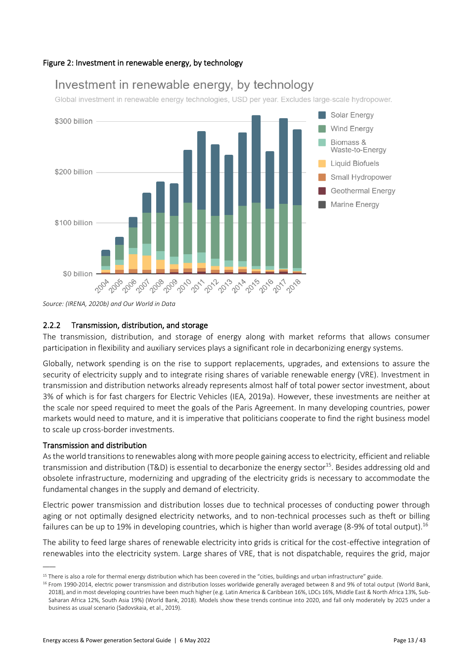#### <span id="page-14-0"></span>Figure 2: Investment in renewable energy, by technology

# Investment in renewable energy, by technology

Global investment in renewable energy technologies, USD per year. Excludes large-scale hydropower.



*Source: (IRENA, 2020b) and Our World in Data* 

#### 2.2.2 Transmission, distribution, and storage

The transmission, distribution, and storage of energy along with market reforms that allows consumer participation in flexibility and auxiliary services plays a significant role in decarbonizing energy systems.

Globally, network spending is on the rise to support replacements, upgrades, and extensions to assure the security of electricity supply and to integrate rising shares of variable renewable energy (VRE). Investment in transmission and distribution networks already represents almost half of total power sector investment, about 3% of which is for fast chargers for Electric Vehicles (IEA, 2019a). However, these investments are neither at the scale nor speed required to meet the goals of the Paris Agreement. In many developing countries, power markets would need to mature, and it is imperative that politicians cooperate to find the right business model to scale up cross-border investments.

#### Transmission and distribution

 $\overline{\phantom{a}}$ 

As the world transitions to renewables along with more people gaining access to electricity, efficient and reliable transmission and distribution (T&D) is essential to decarbonize the energy sector<sup>15</sup>. Besides addressing old and obsolete infrastructure, modernizing and upgrading of the electricity grids is necessary to accommodate the fundamental changes in the supply and demand of electricity.

Electric power transmission and distribution losses due to technical processes of conducting power through aging or not optimally designed electricity networks, and to non-technical processes such as theft or billing failures can be up to 19% in developing countries, which is higher than world average (8-9% of total output).<sup>16</sup>

The ability to feed large shares of renewable electricity into grids is critical for the cost-effective integration of renewables into the electricity system. Large shares of VRE, that is not dispatchable, requires the grid, major

<sup>&</sup>lt;sup>15</sup> There is also a role for thermal energy distribution which has been covered in the "cities, buildings and urban infrastructure" guide.

<sup>&</sup>lt;sup>16</sup> From 1990-2014, electric power transmission and distribution losses worldwide generally averaged between 8 and 9% of total output (World Bank, 2018), and in most developing countries have been much higher (e.g. Latin America & Caribbean 16%, LDCs 16%, Middle East & North Africa 13%, Sub-Saharan Africa 12%, South Asia 19%) (World Bank, 2018). Models show these trends continue into 2020, and fall only moderately by 2025 under a business as usual scenario (Sadovskaia, et al., 2019).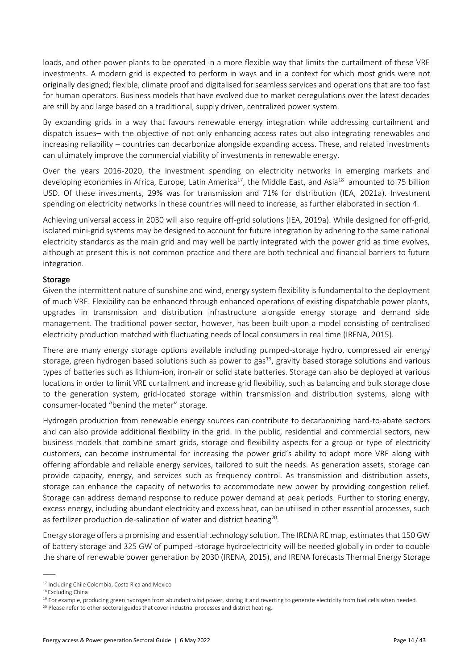loads, and other power plants to be operated in a more flexible way that limits the curtailment of these VRE investments. A modern grid is expected to perform in ways and in a context for which most grids were not originally designed; flexible, climate proof and digitalised for seamless services and operations that are too fast for human operators. Business models that have evolved due to market deregulations over the latest decades are still by and large based on a traditional, supply driven, centralized power system.

By expanding grids in a way that favours renewable energy integration while addressing curtailment and dispatch issues– with the objective of not only enhancing access rates but also integrating renewables and increasing reliability – countries can decarbonize alongside expanding access. These, and related investments can ultimately improve the commercial viability of investments in renewable energy.

Over the years 2016-2020, the investment spending on electricity networks in emerging markets and developing economies in Africa, Europe, Latin America<sup>17</sup>, the Middle East, and Asia<sup>18</sup> amounted to 75 billion USD. Of these investments, 29% was for transmission and 71% for distribution (IEA, 2021a). Investment spending on electricity networks in these countries will need to increase, as further elaborated in section 4.

Achieving universal access in 2030 will also require off-grid solutions (IEA, 2019a). While designed for off-grid, isolated mini-grid systems may be designed to account for future integration by adhering to the same national electricity standards as the main grid and may well be partly integrated with the power grid as time evolves, although at present this is not common practice and there are both technical and financial barriers to future integration.

#### Storage

Given the intermittent nature of sunshine and wind, energy system flexibility is fundamental to the deployment of much VRE. Flexibility can be enhanced through enhanced operations of existing dispatchable power plants, upgrades in transmission and distribution infrastructure alongside energy storage and demand side management. The traditional power sector, however, has been built upon a model consisting of centralised electricity production matched with fluctuating needs of local consumers in real time (IRENA, 2015).

There are many energy storage options available including pumped-storage hydro, compressed air energy storage, green hydrogen based solutions such as power to gas<sup>19</sup>, gravity based storage solutions and various types of batteries such as lithium-ion, iron-air or solid state batteries. Storage can also be deployed at various locations in order to limit VRE curtailment and increase grid flexibility, such as balancing and bulk storage close to the generation system, grid-located storage within transmission and distribution systems, along with consumer-located "behind the meter" storage.

Hydrogen production from renewable energy sources can contribute to decarbonizing hard-to-abate sectors and can also provide additional flexibility in the grid. In the public, residential and commercial sectors, new business models that combine smart grids, storage and flexibility aspects for a group or type of electricity customers, can become instrumental for increasing the power grid's ability to adopt more VRE along with offering affordable and reliable energy services, tailored to suit the needs. As generation assets, storage can provide capacity, energy, and services such as frequency control. As transmission and distribution assets, storage can enhance the capacity of networks to accommodate new power by providing congestion relief. Storage can address demand response to reduce power demand at peak periods. Further to storing energy, excess energy, including abundant electricity and excess heat, can be utilised in other essential processes, such as fertilizer production de-salination of water and district heating<sup>20</sup>.

Energy storage offers a promising and essential technology solution. The IRENA RE map, estimates that 150 GW of battery storage and 325 GW of pumped -storage hydroelectricity will be needed globally in order to double the share of renewable power generation by 2030 (IRENA, 2015), and IRENA forecasts Thermal Energy Storage

<sup>17</sup> Including Chile Colombia, Costa Rica and Mexico

<sup>18</sup> Excluding China

<sup>&</sup>lt;sup>19</sup> For example, producing green hydrogen from abundant wind power, storing it and reverting to generate electricity from fuel cells when needed.

<sup>&</sup>lt;sup>20</sup> Please refer to other sectoral guides that cover industrial processes and district heating.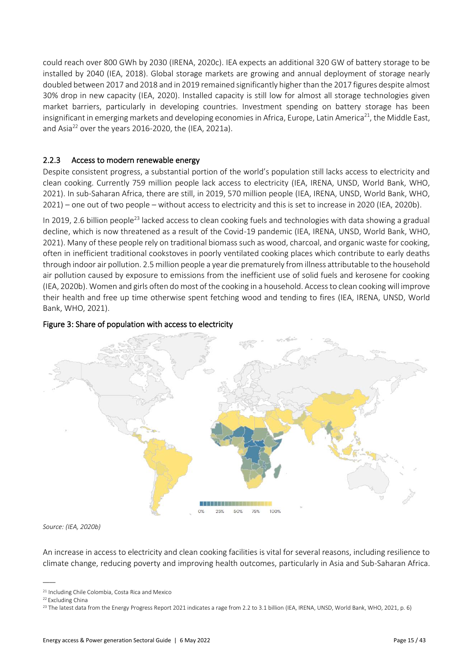could reach over 800 GWh by 2030 (IRENA, 2020c). IEA expects an additional 320 GW of battery storage to be installed by 2040 (IEA, 2018). Global storage markets are growing and annual deployment of storage nearly doubled between 2017 and 2018 and in 2019 remained significantly higher than the 2017 figures despite almost 30% drop in new capacity (IEA, 2020). Installed capacity is still low for almost all storage technologies given market barriers, particularly in developing countries. Investment spending on battery storage has been insignificant in emerging markets and developing economies in Africa, Europe, Latin America<sup>21</sup>, the Middle East, and Asia<sup>22</sup> over the years 2016-2020, the (IEA, 2021a).

#### 2.2.3 Access to modern renewable energy

Despite consistent progress, a substantial portion of the world's population still lacks access to electricity and clean cooking. Currently 759 million people lack access to electricity (IEA, IRENA, UNSD, World Bank, WHO, 2021). In sub-Saharan Africa, there are still, in 2019, 570 million people (IEA, IRENA, UNSD, World Bank, WHO, 2021) – one out of two people – without access to electricity and this is set to increase in 2020 (IEA, 2020b).

In 2019, 2.6 billion people<sup>23</sup> lacked access to clean cooking fuels and technologies with data showing a gradual decline, which is now threatened as a result of the Covid-19 pandemic (IEA, IRENA, UNSD, World Bank, WHO, 2021). Many of these people rely on traditional biomass such as wood, charcoal, and organic waste for cooking, often in inefficient traditional cookstoves in poorly ventilated cooking places which contribute to early deaths through indoor air pollution. 2.5 million people a year die prematurely from illness attributable to the household air pollution caused by exposure to emissions from the inefficient use of solid fuels and kerosene for cooking (IEA, 2020b). Women and girls often do most of the cooking in a household. Access to clean cooking will improve their health and free up time otherwise spent fetching wood and tending to fires (IEA, IRENA, UNSD, World Bank, WHO, 2021).

#### Figure 3: Share of population with access to electricity



*Source: (IEA, 2020b)*

An increase in access to electricity and clean cooking facilities is vital for several reasons, including resilience to climate change, reducing poverty and improving health outcomes, particularly in Asia and Sub-Saharan Africa.

<sup>21</sup> Including Chile Colombia, Costa Rica and Mexico

<sup>&</sup>lt;sup>22</sup> Excluding China

<sup>&</sup>lt;sup>23</sup> The latest data from the Energy Progress Report 2021 indicates a rage from 2.2 to 3.1 billion (IEA, IRENA, UNSD, World Bank, WHO, 2021, p. 6)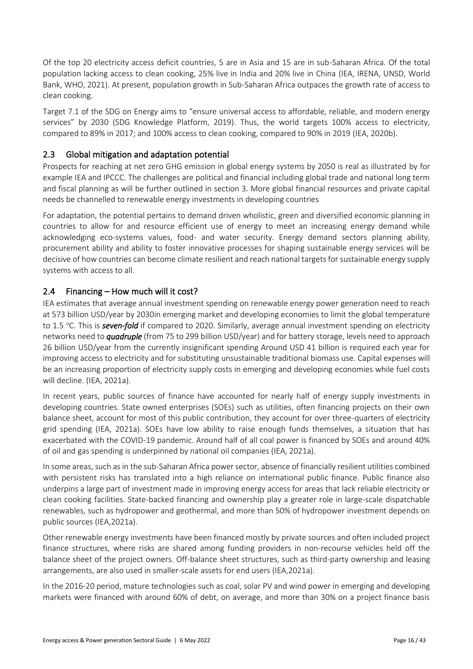Of the top 20 electricity access deficit countries, 5 are in Asia and 15 are in sub-Saharan Africa. Of the total population lacking access to clean cooking, 25% live in India and 20% live in China (IEA, IRENA, UNSD, World Bank, WHO, 2021). At present, population growth in Sub-Saharan Africa outpaces the growth rate of access to clean cooking.

Target 7.1 of the SDG on Energy aims to "ensure universal access to affordable, reliable, and modern energy services" by 2030 (SDG Knowledge Platform, 2019). Thus, the world targets 100% access to electricity, compared to 89% in 2017; and 100% access to clean cooking, compared to 90% in 2019 (IEA, 2020b).

## 2.3 Global mitigation and adaptation potential

Prospects for reaching at net zero GHG emission in global energy systems by 2050 is real as illustrated by for example IEA and IPCCC. The challenges are political and financial including global trade and national long term and fiscal planning as will be further outlined in section 3. More global financial resources and private capital needs be channelled to renewable energy investments in developing countries

For adaptation, the potential pertains to demand driven wholistic, green and diversified economic planning in countries to allow for and resource efficient use of energy to meet an increasing energy demand while acknowledging eco-systems values, food- and water security. Energy demand sectors planning ability, procurement ability and ability to foster innovative processes for shaping sustainable energy services will be decisive of how countries can become climate resilient and reach national targets for sustainable energy supply systems with access to all.

## 2.4 Financing – How much will it cost?

IEA estimates that average annual investment spending on renewable energy power generation need to reach at 573 billion USD/year by 2030in emerging market and developing economies to limit the global temperature to 1.5 °C. This is **seven-fold** if compared to 2020. Similarly, average annual investment spending on electricity networks need to *quadruple* (from 75 to 299 billion USD/year) and for battery storage, levels need to approach 26 billion USD/year from the currently insignificant spending Around USD 41 billion is required each year for improving access to electricity and for substituting unsustainable traditional biomass use. Capital expenses will be an increasing proportion of electricity supply costs in emerging and developing economies while fuel costs will decline. (IEA, 2021a).

In recent years, public sources of finance have accounted for nearly half of energy supply investments in developing countries. State owned enterprises (SOEs) such as utilities, often financing projects on their own balance sheet, account for most of this public contribution, they account for over three-quarters of electricity grid spending (IEA, 2021a). SOEs have low ability to raise enough funds themselves, a situation that has exacerbated with the COVID-19 pandemic. Around half of all coal power is financed by SOEs and around 40% of oil and gas spending is underpinned by national oil companies (IEA, 2021a).

In some areas, such as in the sub-Saharan Africa power sector, absence of financially resilient utilities combined with persistent risks has translated into a high reliance on international public finance. Public finance also underpins a large part of investment made in improving energy access for areas that lack reliable electricity or clean cooking facilities. State-backed financing and ownership play a greater role in large-scale dispatchable renewables, such as hydropower and geothermal, and more than 50% of hydropower investment depends on public sources (IEA,2021a).

Other renewable energy investments have been financed mostly by private sources and often included project finance structures, where risks are shared among funding providers in non-recourse vehicles held off the balance sheet of the project owners. Off-balance sheet structures, such as third-party ownership and leasing arrangements, are also used in smaller-scale assets for end users (IEA,2021a).

In the 2016-20 period, mature technologies such as coal, solar PV and wind power in emerging and developing markets were financed with around 60% of debt, on average, and more than 30% on a project finance basis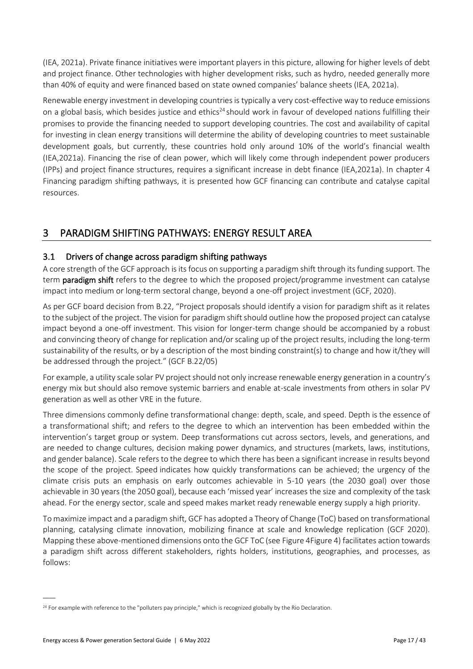(IEA, 2021a). Private finance initiatives were important players in this picture, allowing for higher levels of debt and project finance. Other technologies with higher development risks, such as hydro, needed generally more than 40% of equity and were financed based on state owned companies' balance sheets (IEA, 2021a).

Renewable energy investment in developing countries is typically a very cost-effective way to reduce emissions on a global basis, which besides justice and ethics<sup>24</sup> should work in favour of developed nations fulfilling their promises to provide the financing needed to support developing countries. The cost and availability of capital for investing in clean energy transitions will determine the ability of developing countries to meet sustainable development goals, but currently, these countries hold only around 10% of the world's financial wealth (IEA,2021a). Financing the rise of clean power, which will likely come through independent power producers (IPPs) and project finance structures, requires a significant increase in debt finance (IEA,2021a). In chapter 4 Financing paradigm shifting pathways, it is presented how GCF financing can contribute and catalyse capital resources.

# <span id="page-18-0"></span>3 PARADIGM SHIFTING PATHWAYS: ENERGY RESULT AREA

## 3.1 Drivers of change across paradigm shifting pathways

A core strength of the GCF approach is its focus on supporting a paradigm shift through its funding support. The term **paradigm shift** refers to the degree to which the proposed project/programme investment can catalyse impact into medium or long-term sectoral change, beyond a one-off project investment (GCF, 2020).

As per GCF board decision from B.22, "Project proposals should identify a vision for paradigm shift as it relates to the subject of the project. The vision for paradigm shift should outline how the proposed project can catalyse impact beyond a one-off investment. This vision for longer-term change should be accompanied by a robust and convincing theory of change for replication and/or scaling up of the project results, including the long-term sustainability of the results, or by a description of the most binding constraint(s) to change and how it/they will be addressed through the project." (GCF B.22/05)

For example, a utility scale solar PV project should not only increase renewable energy generation in a country's energy mix but should also remove systemic barriers and enable at-scale investments from others in solar PV generation as well as other VRE in the future.

Three dimensions commonly define transformational change: depth, scale, and speed. Depth is the essence of a transformational shift; and refers to the degree to which an intervention has been embedded within the intervention's target group or system. Deep transformations cut across sectors, levels, and generations, and are needed to change cultures, decision making power dynamics, and structures (markets, laws, institutions, and gender balance). Scale refers to the degree to which there has been a significant increase in results beyond the scope of the project. Speed indicates how quickly transformations can be achieved; the urgency of the climate crisis puts an emphasis on early outcomes achievable in 5-10 years (the 2030 goal) over those achievable in 30 years (the 2050 goal), because each 'missed year' increases the size and complexity of the task ahead. For the energy sector, scale and speed makes market ready renewable energy supply a high priority.

To maximize impact and a paradigm shift, GCF has adopted a Theory of Change (ToC) based on transformational planning, catalysing climate innovation, mobilizing finance at scale and knowledge replication (GCF 2020). Mapping these above-mentioned dimensions onto the GCF ToC (see [Figure 4Figure 4\)](#page-20-0) facilitates action towards a paradigm shift across different stakeholders, rights holders, institutions, geographies, and processes, as follows:

<sup>&</sup>lt;sup>24</sup> For example with reference to the "polluters pay principle," which is recognized globally by the Rio Declaration.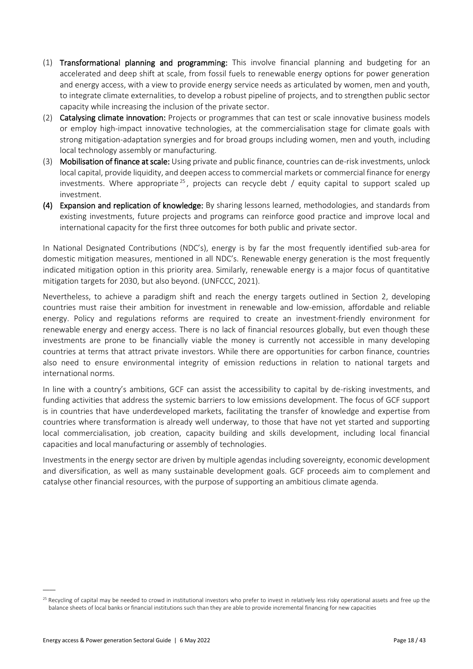- (1) Transformational planning and programming: This involve financial planning and budgeting for an accelerated and deep shift at scale, from fossil fuels to renewable energy options for power generation and energy access, with a view to provide energy service needs as articulated by women, men and youth, to integrate climate externalities, to develop a robust pipeline of projects, and to strengthen public sector capacity while increasing the inclusion of the private sector.
- (2) Catalysing climate innovation: Projects or programmes that can test or scale innovative business models or employ high-impact innovative technologies, at the commercialisation stage for climate goals with strong mitigation-adaptation synergies and for broad groups including women, men and youth, including local technology assembly or manufacturing.
- (3) Mobilisation of finance at scale: Using private and public finance, countries can de-risk investments, unlock local capital, provide liquidity, and deepen access to commercial markets or commercial finance for energy investments. Where appropriate  $25$ , projects can recycle debt / equity capital to support scaled up investment.
- (4) Expansion and replication of knowledge: By sharing lessons learned, methodologies, and standards from existing investments, future projects and programs can reinforce good practice and improve local and international capacity for the first three outcomes for both public and private sector.

In National Designated Contributions (NDC's), energy is by far the most frequently identified sub-area for domestic mitigation measures, mentioned in all NDC's. Renewable energy generation is the most frequently indicated mitigation option in this priority area. Similarly, renewable energy is a major focus of quantitative mitigation targets for 2030, but also beyond. (UNFCCC, 2021).

Nevertheless, to achieve a paradigm shift and reach the energy targets outlined in Section [2,](#page-10-0) developing countries must raise their ambition for investment in renewable and low-emission, affordable and reliable energy. Policy and regulations reforms are required to create an investment-friendly environment for renewable energy and energy access. There is no lack of financial resources globally, but even though these investments are prone to be financially viable the money is currently not accessible in many developing countries at terms that attract private investors. While there are opportunities for carbon finance, countries also need to ensure environmental integrity of emission reductions in relation to national targets and international norms.

In line with a country's ambitions, GCF can assist the accessibility to capital by de-risking investments, and funding activities that address the systemic barriers to low emissions development. The focus of GCF support is in countries that have underdeveloped markets, facilitating the transfer of knowledge and expertise from countries where transformation is already well underway, to those that have not yet started and supporting local commercialisation, job creation, capacity building and skills development, including local financial capacities and local manufacturing or assembly of technologies.

Investments in the energy sector are driven by multiple agendas including sovereignty, economic development and diversification, as well as many sustainable development goals. GCF proceeds aim to complement and catalyse other financial resources, with the purpose of supporting an ambitious climate agenda.

 $\overline{a}$ 

 $25$  Recycling of capital may be needed to crowd in institutional investors who prefer to invest in relatively less risky operational assets and free up the balance sheets of local banks or financial institutions such than they are able to provide incremental financing for new capacities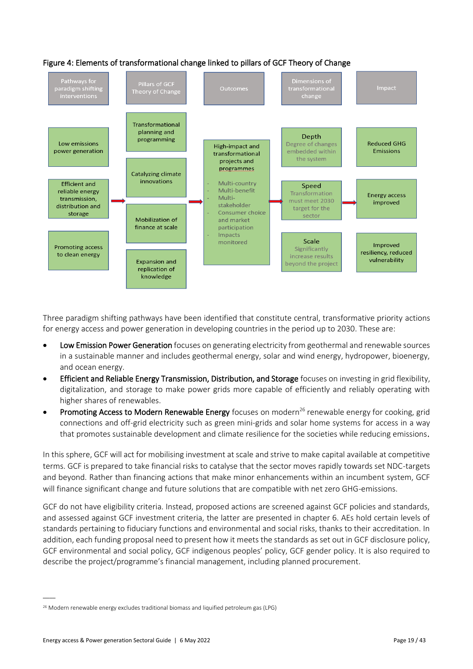

#### <span id="page-20-0"></span>Figure 4: Elements of transformational change linked to pillars of GCF Theory of Change

Threeparadigm shifting pathways have been identified that constitute central, transformative priorityactions for energy access and power generation in developing countries in the period up to 2030. These are:

- Low Emission Power Generation focuses on generating electricity from geothermal and renewable sources in a sustainable manner and includes geothermal energy, solar and wind energy, hydropower, bioenergy, and ocean energy.
- Efficient and Reliable Energy Transmission, Distribution, and Storage focuses on investing in grid flexibility, digitalization, and storage to make power grids more capable of efficiently and reliably operating with higher shares of renewables.
- Promoting Access to Modern Renewable Energy focuses on modern<sup>26</sup> renewable energy for cooking, grid connections and off-grid electricity such as green mini-grids and solar home systems for access in a way that promotes sustainable development and climate resilience for the societies while reducing emissions.

In this sphere, GCF will act for mobilising investment at scale and strive to make capital available at competitive terms. GCF is prepared to take financial risks to catalyse that the sector moves rapidly towards set NDC-targets and beyond. Rather than financing actions that make minor enhancements within an incumbent system, GCF will finance significant change and future solutions that are compatible with net zero GHG-emissions.

GCF do not have eligibility criteria. Instead, proposed actions are screened against GCF policies and standards, and assessed against GCF investment criteria, the latter are presented in chapter 6. AEs hold certain levels of standards pertaining to fiduciary functions and environmental and social risks, thanks to their accreditation. In addition, each funding proposal need to present how it meets the standards as set out in GCF disclosure policy, GCF environmental and social policy, GCF indigenous peoples' policy, GCF gender policy. It is also required to describe the project/programme's financial management, including planned procurement.

<sup>&</sup>lt;sup>26</sup> Modern renewable energy excludes traditional biomass and liquified petroleum gas (LPG)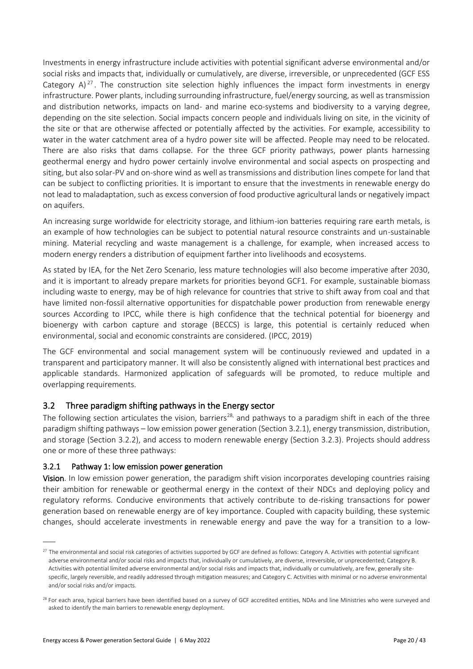Investments in energy infrastructure include activities with potential significant adverse environmental and/or social risks and impacts that, individually or cumulatively, are diverse, irreversible, or unprecedented (GCF ESS Category  $A$ )<sup>27</sup>. The construction site selection highly influences the impact form investments in energy infrastructure. Power plants, including surrounding infrastructure, fuel/energy sourcing, as well as transmission and distribution networks, impacts on land- and marine eco-systems and biodiversity to a varying degree, depending on the site selection. Social impacts concern people and individuals living on site, in the vicinity of the site or that are otherwise affected or potentially affected by the activities. For example, accessibility to water in the water catchment area of a hydro power site will be affected. People may need to be relocated. There are also risks that dams collapse. For the three GCF priority pathways, power plants harnessing geothermal energy and hydro power certainly involve environmental and social aspects on prospecting and siting, but also solar-PV and on-shore wind as well as transmissions and distribution lines compete for land that can be subject to conflicting priorities. It is important to ensure that the investments in renewable energy do not lead to maladaptation, such as excess conversion of food productive agricultural lands or negatively impact on aquifers.

An increasing surge worldwide for electricity storage, and lithium-ion batteries requiring rare earth metals, is an example of how technologies can be subject to potential natural resource constraints and un-sustainable mining. Material recycling and waste management is a challenge, for example, when increased access to modern energy renders a distribution of equipment farther into livelihoods and ecosystems.

As stated by IEA, for the Net Zero Scenario, less mature technologies will also become imperative after 2030, and it is important to already prepare markets for priorities beyond GCF1. For example, sustainable biomass including waste to energy, may be of high relevance for countries that strive to shift away from coal and that have limited non-fossil alternative opportunities for dispatchable power production from renewable energy sources According to IPCC, while there is high confidence that the technical potential for bioenergy and bioenergy with carbon capture and storage (BECCS) is large, this potential is certainly reduced when environmental, social and economic constraints are considered. (IPCC, 2019)

The GCF environmental and social management system will be continuously reviewed and updated in a transparent and participatory manner. It will also be consistently aligned with international best practices and applicable standards. Harmonized application of safeguards will be promoted, to reduce multiple and overlapping requirements.

## 3.2 Three paradigm shifting pathways in the Energy sector

The following section articulates the vision, barriers<sup>28,</sup> and pathways to a paradigm shift in each of the three paradigm shifting pathways – low emission power generation (Section 3.2.1), energy transmission, distribution, and storage (Section [3.2.2\)](#page-24-0), and access to modern renewable energy (Section [3.2.3\)](#page-26-0). Projects should address one or more of these three pathways:

#### 3.2.1 Pathway 1: low emission power generation

Vision. In low emission power generation, the paradigm shift vision incorporates developing countries raising their ambition for renewable or geothermal energy in the context of their NDCs and deploying policy and regulatory reforms. Conducive environments that actively contribute to de-risking transactions for power generation based on renewable energy are of key importance. Coupled with capacity building, these systemic changes, should accelerate investments in renewable energy and pave the way for a transition to a low-

 $\overline{a}$ 

<sup>&</sup>lt;sup>27</sup> The environmental and social risk categories of activities supported by GCF are defined as follows: Category A. Activities with potential significant adverse environmental and/or social risks and impacts that, individually or cumulatively, are diverse, irreversible, or unprecedented; Category B. Activities with potential limited adverse environmental and/or social risks and impacts that, individually or cumulatively, are few, generally sitespecific, largely reversible, and readily addressed through mitigation measures; and Category C. Activities with minimal or no adverse environmental and/or social risks and/or impacts.

<sup>&</sup>lt;sup>28</sup> For each area, typical barriers have been identified based on a survey of GCF accredited entities, NDAs and line Ministries who were surveyed and asked to identify the main barriers to renewable energy deployment.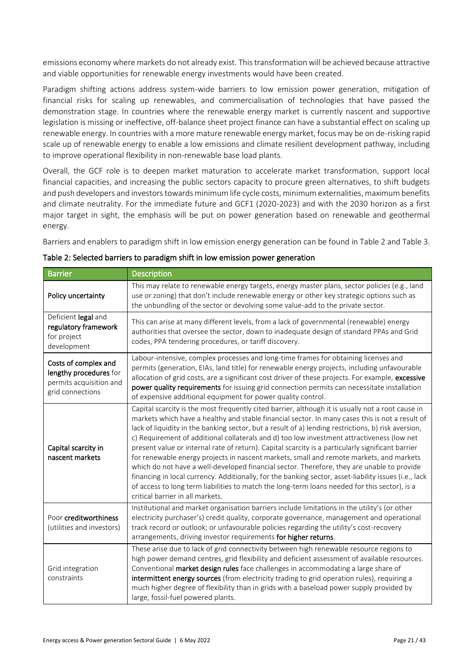emissions economy where markets do not already exist. This transformation will be achieved because attractive and viable opportunities for renewable energy investments would have been created.

Paradigm shifting actions address system-wide barriers to low emission power generation, mitigation of financial risks for scaling up renewables, and commercialisation of technologies that have passed the demonstration stage. In countries where the renewable energy market is currently nascent and supportive legislation is missing or ineffective, off-balance sheet project finance can have a substantial effect on scaling up renewable energy. In countries with a more mature renewable energy market, focus may be on de-risking rapid scale up of renewable energy to enable a low emissions and climate resilient development pathway, including to improve operational flexibility in non-renewable base load plants.

Overall, the GCF role is to deepen market maturation to accelerate market transformation, support local financial capacities, and increasing the public sectors capacity to procure green alternatives, to shift budgets and push developers and investors towards minimum life cycle costs, minimum externalities, maximum benefits and climate neutrality. For the immediate future and GCF1 (2020-2023) and with the 2030 horizon as a first major target in sight, the emphasis will be put on power generation based on renewable and geothermal energy.

Barriers and enablers to paradigm shift in low emission energy generation can be found i[n Table 2](#page-22-0) and [Table 3.](#page-23-0)

| <b>Barrier</b>                                                                                | <b>Description</b>                                                                                                                                                                                                                                                                                                                                                                                                                                                                                                                                                                                                                                                                                                                                                                                                                                                                                                                                    |
|-----------------------------------------------------------------------------------------------|-------------------------------------------------------------------------------------------------------------------------------------------------------------------------------------------------------------------------------------------------------------------------------------------------------------------------------------------------------------------------------------------------------------------------------------------------------------------------------------------------------------------------------------------------------------------------------------------------------------------------------------------------------------------------------------------------------------------------------------------------------------------------------------------------------------------------------------------------------------------------------------------------------------------------------------------------------|
| Policy uncertainty                                                                            | This may relate to renewable energy targets, energy master plans, sector policies (e.g., land<br>use or zoning) that don't include renewable energy or other key strategic options such as<br>the unbundling of the sector or devolving some value-add to the private sector.                                                                                                                                                                                                                                                                                                                                                                                                                                                                                                                                                                                                                                                                         |
| Deficient legal and<br>regulatory framework<br>for project<br>development                     | This can arise at many different levels, from a lack of governmental (renewable) energy<br>authorities that oversee the sector, down to inadequate design of standard PPAs and Grid<br>codes, PPA tendering procedures, or tariff discovery.                                                                                                                                                                                                                                                                                                                                                                                                                                                                                                                                                                                                                                                                                                          |
| Costs of complex and<br>lengthy procedures for<br>permits acquisition and<br>grid connections | Labour-intensive, complex processes and long-time frames for obtaining licenses and<br>permits (generation, EIAs, land title) for renewable energy projects, including unfavourable<br>allocation of grid costs, are a significant cost driver of these projects. For example, excessive<br>power quality requirements for issuing grid connection permits can necessitate installation<br>of expensive additional equipment for power quality control.                                                                                                                                                                                                                                                                                                                                                                                                                                                                                               |
| Capital scarcity in<br>nascent markets                                                        | Capital scarcity is the most frequently cited barrier, although it is usually not a root cause in<br>markets which have a healthy and stable financial sector. In many cases this is not a result of<br>lack of liquidity in the banking sector, but a result of a) lending restrictions, b) risk aversion,<br>c) Requirement of additional collaterals and d) too low investment attractiveness (low net<br>present value or internal rate of return). Capital scarcity is a particularly significant barrier<br>for renewable energy projects in nascent markets, small and remote markets, and markets<br>which do not have a well-developed financial sector. Therefore, they are unable to provide<br>financing in local currency. Additionally, for the banking sector, asset-liability issues (i.e., lack<br>of access to long term liabilities to match the long-term loans needed for this sector), is a<br>critical barrier in all markets. |
| Poor creditworthiness<br>(utilities and investors)                                            | Institutional and market organisation barriers include limitations in the utility's (or other<br>electricity purchaser's) credit quality, corporate governance, management and operational<br>track record or outlook; or unfavourable policies regarding the utility's cost-recovery<br>arrangements, driving investor requirements for higher returns.                                                                                                                                                                                                                                                                                                                                                                                                                                                                                                                                                                                              |
| Grid integration<br>constraints                                                               | These arise due to lack of grid connectivity between high renewable resource regions to<br>high power demand centres, grid flexibility and deficient assessment of available resources.<br>Conventional market design rules face challenges in accommodating a large share of<br>intermittent energy sources (from electricity trading to grid operation rules), requiring a<br>much higher degree of flexibility than in grids with a baseload power supply provided by<br>large, fossil-fuel powered plants.                                                                                                                                                                                                                                                                                                                                                                                                                                        |

<span id="page-22-0"></span>

| Table 2: Selected barriers to paradigm shift in low emission power generation |  |  |  |
|-------------------------------------------------------------------------------|--|--|--|
|-------------------------------------------------------------------------------|--|--|--|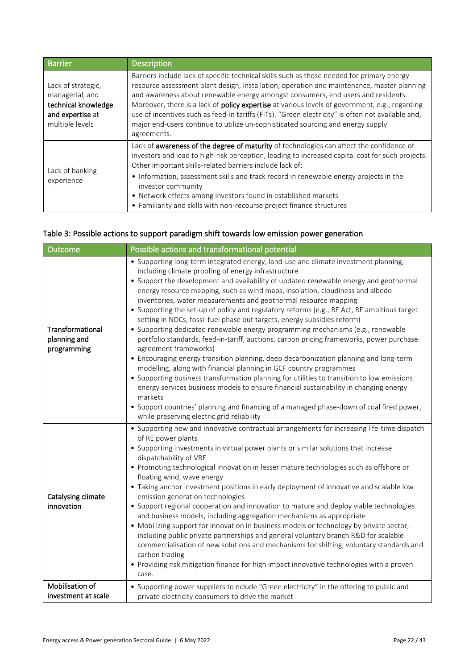| <b>Barrier</b>                                                                                      | <b>Description</b>                                                                                                                                                                                                                                                                                                                                                                                                                                                                                                                                                                           |
|-----------------------------------------------------------------------------------------------------|----------------------------------------------------------------------------------------------------------------------------------------------------------------------------------------------------------------------------------------------------------------------------------------------------------------------------------------------------------------------------------------------------------------------------------------------------------------------------------------------------------------------------------------------------------------------------------------------|
| Lack of strategic,<br>managerial, and<br>technical knowledge<br>and expertise at<br>multiple levels | Barriers include lack of specific technical skills such as those needed for primary energy<br>resource assessment plant design, installation, operation and maintenance, master planning<br>and awareness about renewable energy amongst consumers, end users and residents.<br>Moreover, there is a lack of <b>policy expertise</b> at various levels of government, e.g., regarding<br>use of incentives such as feed-in tariffs (FITs). "Green electricity" is often not available and,<br>major end-users continue to utilize un-sophisticated sourcing and energy supply<br>agreements. |
| Lack of banking<br>experience                                                                       | Lack of awareness of the degree of maturity of technologies can affect the confidence of<br>investors and lead to high-risk perception, leading to increased capital cost for such projects.<br>Other important skills-related barriers include lack of:<br>• Information, assessment skills and track record in renewable energy projects in the<br>investor community<br>• Network effects among investors found in established markets                                                                                                                                                    |
|                                                                                                     | • Familiarity and skills with non-recourse project finance structures                                                                                                                                                                                                                                                                                                                                                                                                                                                                                                                        |

## <span id="page-23-0"></span>Table 3: Possible actions to support paradigm shift towards low emission power generation

| Possible actions and transformational potential<br>Outcome |                                                                                                                                                                                                                                                                                                                                                                                                                                                                                                                                                                                                                                                                                                                                                                                                                                                                                                                                                                                                                                                                                                                                                                                                                                                                                       |  |  |
|------------------------------------------------------------|---------------------------------------------------------------------------------------------------------------------------------------------------------------------------------------------------------------------------------------------------------------------------------------------------------------------------------------------------------------------------------------------------------------------------------------------------------------------------------------------------------------------------------------------------------------------------------------------------------------------------------------------------------------------------------------------------------------------------------------------------------------------------------------------------------------------------------------------------------------------------------------------------------------------------------------------------------------------------------------------------------------------------------------------------------------------------------------------------------------------------------------------------------------------------------------------------------------------------------------------------------------------------------------|--|--|
| Transformational<br>planning and<br>programming            | • Supporting long-term integrated energy, land-use and climate investment planning,<br>including climate proofing of energy infrastructure<br>• Support the development and availability of updated renewable energy and geothermal<br>energy resource mapping, such as wind maps, insolation, cloudiness and albedo<br>inventories, water measurements and geothermal resource mapping<br>• Supporting the set-up of policy and regulatory reforms (e.g., RE Act, RE ambitious target<br>setting in NDCs, fossil fuel phase out targets, energy subsidies reform)<br>• Supporting dedicated renewable energy programming mechanisms (e.g., renewable<br>portfolio standards, feed-in-tariff, auctions, carbon pricing frameworks, power purchase<br>agreement frameworks)<br>• Encouraging energy transition planning, deep decarbonization planning and long-term<br>modelling, along with financial planning in GCF country programmes<br>• Supporting business transformation planning for utilities to transition to low emissions<br>energy services business models to ensure financial sustainability in changing energy<br>markets<br>• Support countries' planning and financing of a managed phase-down of coal fired power,<br>while preserving electric grid reliability |  |  |
| Catalysing climate<br>innovation                           | • Supporting new and innovative contractual arrangements for increasing life-time dispatch<br>of RE power plants<br>• Supporting investments in virtual power plants or similar solutions that increase<br>dispatchability of VRE<br>• Promoting technological innovation in lesser mature technologies such as offshore or<br>floating wind, wave energy<br>• Taking anchor investment positions in early deployment of innovative and scalable low<br>emission generation technologies<br>• Support regional cooperation and innovation to mature and deploy viable technologies<br>and business models, including aggregation mechanisms as appropriate<br>. Mobilizing support for innovation in business models or technology by private sector,<br>including public private partnerships and general voluntary branch R&D for scalable<br>commercialisation of new solutions and mechanisms for shifting, voluntary standards and<br>carbon trading<br>• Providing risk mitigation finance for high impact innovative technologies with a proven<br>case.                                                                                                                                                                                                                       |  |  |
| Mobilisation of<br>investment at scale                     | • Supporting power suppliers to nclude "Green electricity" in the offering to public and<br>private electricity consumers to drive the market                                                                                                                                                                                                                                                                                                                                                                                                                                                                                                                                                                                                                                                                                                                                                                                                                                                                                                                                                                                                                                                                                                                                         |  |  |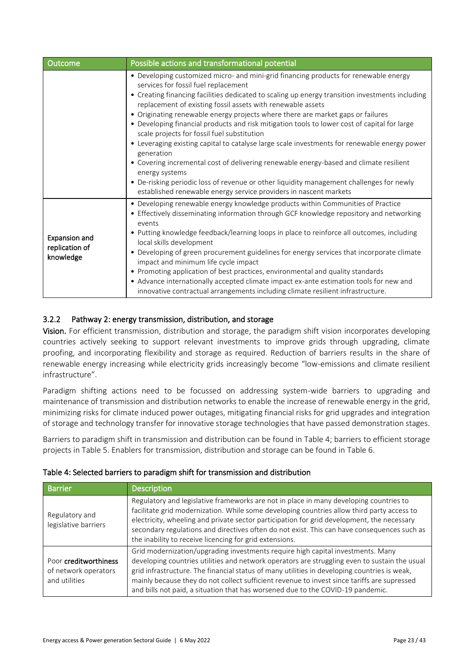| Outcome                                             | Possible actions and transformational potential                                                                                                                                                                                                                                                                                                                                                                                                                                                                                                                                                                                                                                                                                                                                                                                                                                                                             |  |  |
|-----------------------------------------------------|-----------------------------------------------------------------------------------------------------------------------------------------------------------------------------------------------------------------------------------------------------------------------------------------------------------------------------------------------------------------------------------------------------------------------------------------------------------------------------------------------------------------------------------------------------------------------------------------------------------------------------------------------------------------------------------------------------------------------------------------------------------------------------------------------------------------------------------------------------------------------------------------------------------------------------|--|--|
|                                                     | • Developing customized micro- and mini-grid financing products for renewable energy<br>services for fossil fuel replacement<br>• Creating financing facilities dedicated to scaling up energy transition investments including<br>replacement of existing fossil assets with renewable assets<br>• Originating renewable energy projects where there are market gaps or failures<br>• Developing financial products and risk mitigation tools to lower cost of capital for large<br>scale projects for fossil fuel substitution<br>• Leveraging existing capital to catalyse large scale investments for renewable energy power<br>generation<br>• Covering incremental cost of delivering renewable energy-based and climate resilient<br>energy systems<br>• De-risking periodic loss of revenue or other liquidity management challenges for newly<br>established renewable energy service providers in nascent markets |  |  |
| <b>Expansion and</b><br>replication of<br>knowledge | • Developing renewable energy knowledge products within Communities of Practice<br>• Effectively disseminating information through GCF knowledge repository and networking<br>events<br>• Putting knowledge feedback/learning loops in place to reinforce all outcomes, including<br>local skills development<br>• Developing of green procurement guidelines for energy services that incorporate climate<br>impact and minimum life cycle impact<br>• Promoting application of best practices, environmental and quality standards<br>• Advance internationally accepted climate impact ex-ante estimation tools for new and<br>innovative contractual arrangements including climate resilient infrastructure.                                                                                                                                                                                                           |  |  |

## <span id="page-24-0"></span>3.2.2 Pathway 2: energy transmission, distribution, and storage

Vision. For efficient transmission, distribution and storage, the paradigm shift vision incorporates developing countries actively seeking to support relevant investments to improve grids through upgrading, climate proofing, and incorporating flexibility and storage as required. Reduction of barriers results in the share of renewable energy increasing while electricity grids increasingly become "low-emissions and climate resilient infrastructure".

Paradigm shifting actions need to be focussed on addressing system-wide barriers to upgrading and maintenance of transmission and distribution networks to enable the increase of renewable energy in the grid, minimizing risks for climate induced power outages, mitigating financial risks for grid upgrades and integration of storage and technology transfer for innovative storage technologies that have passed demonstration stages.

Barriers to paradigm shift in transmission and distribution can be found in [Table 4;](#page-24-1) barriers to efficient storage projects in [Table 5.](#page-25-0) Enablers for transmission, distribution and storage can be found i[n Table 6.](#page-25-1)

| <b>Barrier</b>                                                 | <b>Description</b>                                                                                                                                                                                                                                                                                                                                                                                                                                                 |
|----------------------------------------------------------------|--------------------------------------------------------------------------------------------------------------------------------------------------------------------------------------------------------------------------------------------------------------------------------------------------------------------------------------------------------------------------------------------------------------------------------------------------------------------|
| Regulatory and<br>legislative barriers                         | Regulatory and legislative frameworks are not in place in many developing countries to<br>facilitate grid modernization. While some developing countries allow third party access to<br>electricity, wheeling and private sector participation for grid development, the necessary<br>secondary regulations and directives often do not exist. This can have consequences such as<br>the inability to receive licencing for grid extensions.                       |
| Poor creditworthiness<br>of network operators<br>and utilities | Grid modernization/upgrading investments require high capital investments. Many<br>developing countries utilities and network operators are struggling even to sustain the usual<br>grid infrastructure. The financial status of many utilities in developing countries is weak,<br>mainly because they do not collect sufficient revenue to invest since tariffs are supressed<br>and bills not paid, a situation that has worsened due to the COVID-19 pandemic. |

#### <span id="page-24-1"></span>Table 4: Selected barriers to paradigm shift for transmission and distribution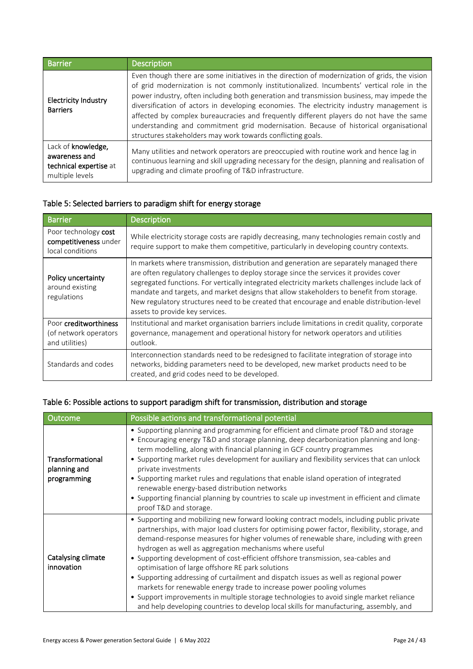| <b>Barrier</b>                                                                   | <b>Description</b>                                                                                                                                                                                                                                                                                                                                                                                                                                                                                                                                                                                                                      |
|----------------------------------------------------------------------------------|-----------------------------------------------------------------------------------------------------------------------------------------------------------------------------------------------------------------------------------------------------------------------------------------------------------------------------------------------------------------------------------------------------------------------------------------------------------------------------------------------------------------------------------------------------------------------------------------------------------------------------------------|
| <b>Electricity Industry</b><br><b>Barriers</b>                                   | Even though there are some initiatives in the direction of modernization of grids, the vision<br>of grid modernization is not commonly institutionalized. Incumbents' vertical role in the<br>power industry, often including both generation and transmission business, may impede the<br>diversification of actors in developing economies. The electricity industry management is<br>affected by complex bureaucracies and frequently different players do not have the same<br>understanding and commitment grid modernisation. Because of historical organisational<br>structures stakeholders may work towards conflicting goals. |
| Lack of knowledge,<br>awareness and<br>technical expertise at<br>multiple levels | Many utilities and network operators are preoccupied with routine work and hence lag in<br>continuous learning and skill upgrading necessary for the design, planning and realisation of<br>upgrading and climate proofing of T&D infrastructure.                                                                                                                                                                                                                                                                                                                                                                                       |

## <span id="page-25-0"></span>Table 5: Selected barriers to paradigm shift for energy storage

| <b>Barrier</b>                                                                                                                                                                                                                                                                                                                                                                                                                                                                                                                                                          | <b>Description</b>                                                                                                                                                                                                              |  |  |
|-------------------------------------------------------------------------------------------------------------------------------------------------------------------------------------------------------------------------------------------------------------------------------------------------------------------------------------------------------------------------------------------------------------------------------------------------------------------------------------------------------------------------------------------------------------------------|---------------------------------------------------------------------------------------------------------------------------------------------------------------------------------------------------------------------------------|--|--|
| Poor technology cost<br>competitiveness under<br>local conditions                                                                                                                                                                                                                                                                                                                                                                                                                                                                                                       | While electricity storage costs are rapidly decreasing, many technologies remain costly and<br>require support to make them competitive, particularly in developing country contexts.                                           |  |  |
| In markets where transmission, distribution and generation are separately managed there<br>are often regulatory challenges to deploy storage since the services it provides cover<br>Policy uncertainty<br>segregated functions. For vertically integrated electricity markets challenges include lack of<br>around existing<br>mandate and targets, and market designs that allow stakeholders to benefit from storage.<br>regulations<br>New regulatory structures need to be created that encourage and enable distribution-level<br>assets to provide key services. |                                                                                                                                                                                                                                 |  |  |
| Poor creditworthiness<br>(of network operators<br>and utilities)                                                                                                                                                                                                                                                                                                                                                                                                                                                                                                        | Institutional and market organisation barriers include limitations in credit quality, corporate<br>governance, management and operational history for network operators and utilities<br>outlook.                               |  |  |
| Standards and codes                                                                                                                                                                                                                                                                                                                                                                                                                                                                                                                                                     | Interconnection standards need to be redesigned to facilitate integration of storage into<br>networks, bidding parameters need to be developed, new market products need to be<br>created, and grid codes need to be developed. |  |  |

## <span id="page-25-1"></span>Table 6: Possible actions to support paradigm shift for transmission, distribution and storage

| Outcome                                         | Possible actions and transformational potential                                                                                                                                                                                                                                                                                                                                                                                                                                                                                                                                                                                                                                                                                                                                                                                            |  |  |
|-------------------------------------------------|--------------------------------------------------------------------------------------------------------------------------------------------------------------------------------------------------------------------------------------------------------------------------------------------------------------------------------------------------------------------------------------------------------------------------------------------------------------------------------------------------------------------------------------------------------------------------------------------------------------------------------------------------------------------------------------------------------------------------------------------------------------------------------------------------------------------------------------------|--|--|
| Transformational<br>planning and<br>programming | • Supporting planning and programming for efficient and climate proof T&D and storage<br>• Encouraging energy T&D and storage planning, deep decarbonization planning and long-<br>term modelling, along with financial planning in GCF country programmes<br>• Supporting market rules development for auxiliary and flexibility services that can unlock<br>private investments<br>• Supporting market rules and regulations that enable island operation of integrated<br>renewable energy-based distribution networks<br>• Supporting financial planning by countries to scale up investment in efficient and climate<br>proof T&D and storage.                                                                                                                                                                                        |  |  |
| Catalysing climate<br>innovation                | • Supporting and mobilizing new forward looking contract models, including public private<br>partnerships, with major load clusters for optimising power factor, flexibility, storage, and<br>demand-response measures for higher volumes of renewable share, including with green<br>hydrogen as well as aggregation mechanisms where useful<br>• Supporting development of cost-efficient offshore transmission, sea-cables and<br>optimisation of large offshore RE park solutions<br>• Supporting addressing of curtailment and dispatch issues as well as regional power<br>markets for renewable energy trade to increase power pooling volumes<br>• Support improvements in multiple storage technologies to avoid single market reliance<br>and help developing countries to develop local skills for manufacturing, assembly, and |  |  |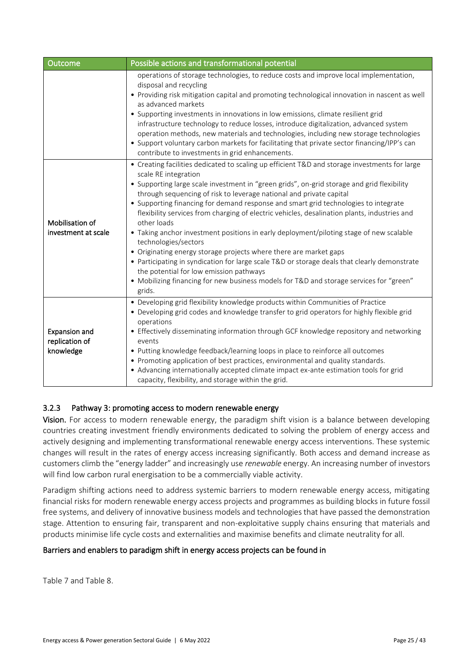| Outcome                                             | Possible actions and transformational potential                                                                                                                                                                                                                                                                                                                                                                                                                                                                                                                                                                                                                                                                                                                                                                                                                                                                                          |  |  |
|-----------------------------------------------------|------------------------------------------------------------------------------------------------------------------------------------------------------------------------------------------------------------------------------------------------------------------------------------------------------------------------------------------------------------------------------------------------------------------------------------------------------------------------------------------------------------------------------------------------------------------------------------------------------------------------------------------------------------------------------------------------------------------------------------------------------------------------------------------------------------------------------------------------------------------------------------------------------------------------------------------|--|--|
|                                                     | operations of storage technologies, to reduce costs and improve local implementation,<br>disposal and recycling<br>• Providing risk mitigation capital and promoting technological innovation in nascent as well<br>as advanced markets<br>• Supporting investments in innovations in low emissions, climate resilient grid<br>infrastructure technology to reduce losses, introduce digitalization, advanced system<br>operation methods, new materials and technologies, including new storage technologies<br>• Support voluntary carbon markets for facilitating that private sector financing/IPP's can<br>contribute to investments in grid enhancements.                                                                                                                                                                                                                                                                          |  |  |
| Mobilisation of<br>investment at scale              | • Creating facilities dedicated to scaling up efficient T&D and storage investments for large<br>scale RE integration<br>• Supporting large scale investment in "green grids", on-grid storage and grid flexibility<br>through sequencing of risk to leverage national and private capital<br>• Supporting financing for demand response and smart grid technologies to integrate<br>flexibility services from charging of electric vehicles, desalination plants, industries and<br>other loads<br>• Taking anchor investment positions in early deployment/piloting stage of new scalable<br>technologies/sectors<br>• Originating energy storage projects where there are market gaps<br>• Participating in syndication for large scale T&D or storage deals that clearly demonstrate<br>the potential for low emission pathways<br>• Mobilizing financing for new business models for T&D and storage services for "green"<br>grids. |  |  |
| <b>Expansion and</b><br>replication of<br>knowledge | • Developing grid flexibility knowledge products within Communities of Practice<br>• Developing grid codes and knowledge transfer to grid operators for highly flexible grid<br>operations<br>• Effectively disseminating information through GCF knowledge repository and networking<br>events<br>• Putting knowledge feedback/learning loops in place to reinforce all outcomes<br>• Promoting application of best practices, environmental and quality standards.<br>• Advancing internationally accepted climate impact ex-ante estimation tools for grid<br>capacity, flexibility, and storage within the grid.                                                                                                                                                                                                                                                                                                                     |  |  |

#### <span id="page-26-0"></span>3.2.3 Pathway 3: promoting access to modern renewable energy

Vision. For access to modern renewable energy, the paradigm shift vision is a balance between developing countries creating investment friendly environments dedicated to solving the problem of energy access and actively designing and implementing transformational renewable energy access interventions. These systemic changes will result in the rates of energy access increasing significantly. Both access and demand increase as customers climb the "energy ladder" and increasingly use *renewable* energy. An increasing number of investors will find low carbon rural energisation to be a commercially viable activity.

Paradigm shifting actions need to address systemic barriers to modern renewable energy access, mitigating financial risks for modern renewable energy access projects and programmes as building blocks in future fossil free systems, and delivery of innovative business models and technologies that have passed the demonstration stage. Attention to ensuring fair, transparent and non-exploitative supply chains ensuring that materials and products minimise life cycle costs and externalities and maximise benefits and climate neutrality for all.

#### Barriers and enablers to paradigm shift in energy access projects can be found i[n](#page-27-0)

[Table 7](#page-27-0) an[d Table 8.](#page-27-1)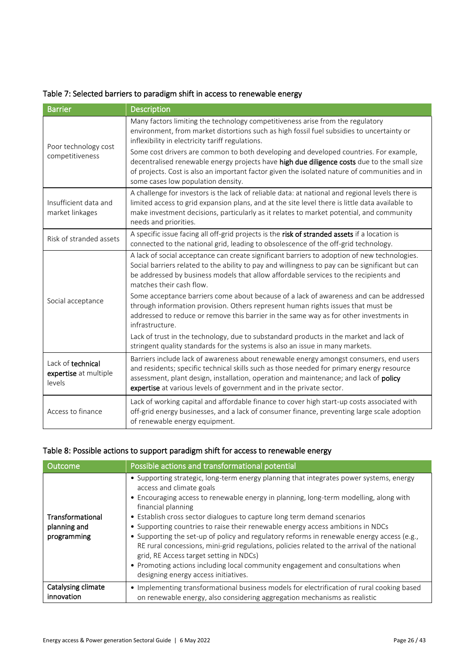<span id="page-27-0"></span>

| Table 7: Selected barriers to paradigm shift in access to renewable energy |  |
|----------------------------------------------------------------------------|--|
|----------------------------------------------------------------------------|--|

| <b>Barrier</b>                                                                                                                                                                                                                                                                                                                                                       | <b>Description</b>                                                                                                                                                                                                                                                                                                                                   |  |  |
|----------------------------------------------------------------------------------------------------------------------------------------------------------------------------------------------------------------------------------------------------------------------------------------------------------------------------------------------------------------------|------------------------------------------------------------------------------------------------------------------------------------------------------------------------------------------------------------------------------------------------------------------------------------------------------------------------------------------------------|--|--|
|                                                                                                                                                                                                                                                                                                                                                                      | Many factors limiting the technology competitiveness arise from the regulatory<br>environment, from market distortions such as high fossil fuel subsidies to uncertainty or<br>inflexibility in electricity tariff regulations.                                                                                                                      |  |  |
| Poor technology cost<br>competitiveness                                                                                                                                                                                                                                                                                                                              | Some cost drivers are common to both developing and developed countries. For example,<br>decentralised renewable energy projects have high due diligence costs due to the small size<br>of projects. Cost is also an important factor given the isolated nature of communities and in<br>some cases low population density.                          |  |  |
| A challenge for investors is the lack of reliable data: at national and regional levels there is<br>limited access to grid expansion plans, and at the site level there is little data available to<br>Insufficient data and<br>make investment decisions, particularly as it relates to market potential, and community<br>market linkages<br>needs and priorities. |                                                                                                                                                                                                                                                                                                                                                      |  |  |
| A specific issue facing all off-grid projects is the risk of stranded assets if a location is<br>Risk of stranded assets<br>connected to the national grid, leading to obsolescence of the off-grid technology.                                                                                                                                                      |                                                                                                                                                                                                                                                                                                                                                      |  |  |
|                                                                                                                                                                                                                                                                                                                                                                      | A lack of social acceptance can create significant barriers to adoption of new technologies.<br>Social barriers related to the ability to pay and willingness to pay can be significant but can<br>be addressed by business models that allow affordable services to the recipients and<br>matches their cash flow.                                  |  |  |
| Social acceptance                                                                                                                                                                                                                                                                                                                                                    | Some acceptance barriers come about because of a lack of awareness and can be addressed<br>through information provision. Others represent human rights issues that must be<br>addressed to reduce or remove this barrier in the same way as for other investments in<br>infrastructure.                                                             |  |  |
|                                                                                                                                                                                                                                                                                                                                                                      | Lack of trust in the technology, due to substandard products in the market and lack of<br>stringent quality standards for the systems is also an issue in many markets.                                                                                                                                                                              |  |  |
| Lack of technical<br>expertise at multiple<br>levels                                                                                                                                                                                                                                                                                                                 | Barriers include lack of awareness about renewable energy amongst consumers, end users<br>and residents; specific technical skills such as those needed for primary energy resource<br>assessment, plant design, installation, operation and maintenance; and lack of policy<br>expertise at various levels of government and in the private sector. |  |  |
| Lack of working capital and affordable finance to cover high start-up costs associated with<br>off-grid energy businesses, and a lack of consumer finance, preventing large scale adoption<br>Access to finance<br>of renewable energy equipment.                                                                                                                    |                                                                                                                                                                                                                                                                                                                                                      |  |  |

# <span id="page-27-1"></span>Table 8: Possible actions to support paradigm shift for access to renewable energy

| <b>Outcome</b>                                  | Possible actions and transformational potential                                                                                                                                                                                                                                                                                                                                                                                                                                                                                                                                                                                                                                                                                                                       |  |  |  |
|-------------------------------------------------|-----------------------------------------------------------------------------------------------------------------------------------------------------------------------------------------------------------------------------------------------------------------------------------------------------------------------------------------------------------------------------------------------------------------------------------------------------------------------------------------------------------------------------------------------------------------------------------------------------------------------------------------------------------------------------------------------------------------------------------------------------------------------|--|--|--|
| Transformational<br>planning and<br>programming | • Supporting strategic, long-term energy planning that integrates power systems, energy<br>access and climate goals<br>• Encouraging access to renewable energy in planning, long-term modelling, along with<br>financial planning<br>• Establish cross sector dialogues to capture long term demand scenarios<br>• Supporting countries to raise their renewable energy access ambitions in NDCs<br>• Supporting the set-up of policy and regulatory reforms in renewable energy access (e.g.,<br>RE rural concessions, mini-grid regulations, policies related to the arrival of the national<br>grid, RE Access target setting in NDCs)<br>• Promoting actions including local community engagement and consultations when<br>designing energy access initiatives. |  |  |  |
| Catalysing climate<br>innovation                | • Implementing transformational business models for electrification of rural cooking based<br>on renewable energy, also considering aggregation mechanisms as realistic                                                                                                                                                                                                                                                                                                                                                                                                                                                                                                                                                                                               |  |  |  |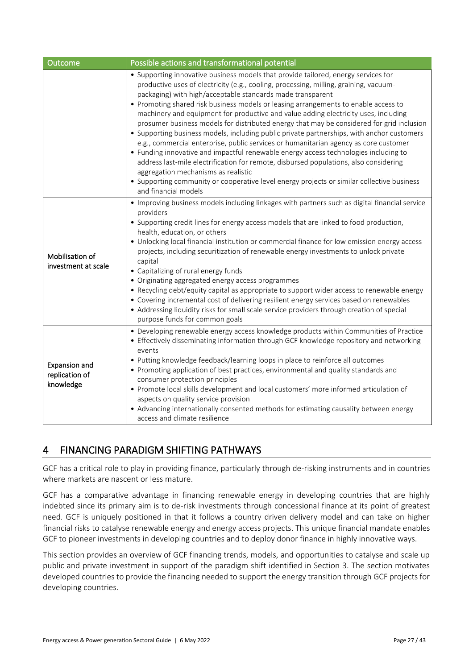| Outcome                                             | Possible actions and transformational potential                                                                                                                                                                                                                                                                                                                                                                                                                                                                                                                                                                                                                                                                                                                                                                                                                                                                                                                                                                                                          |  |  |  |  |
|-----------------------------------------------------|----------------------------------------------------------------------------------------------------------------------------------------------------------------------------------------------------------------------------------------------------------------------------------------------------------------------------------------------------------------------------------------------------------------------------------------------------------------------------------------------------------------------------------------------------------------------------------------------------------------------------------------------------------------------------------------------------------------------------------------------------------------------------------------------------------------------------------------------------------------------------------------------------------------------------------------------------------------------------------------------------------------------------------------------------------|--|--|--|--|
|                                                     | • Supporting innovative business models that provide tailored, energy services for<br>productive uses of electricity (e.g., cooling, processing, milling, graining, vacuum-<br>packaging) with high/acceptable standards made transparent<br>• Promoting shared risk business models or leasing arrangements to enable access to<br>machinery and equipment for productive and value adding electricity uses, including<br>prosumer business models for distributed energy that may be considered for grid inclusion<br>• Supporting business models, including public private partnerships, with anchor customers<br>e.g., commercial enterprise, public services or humanitarian agency as core customer<br>• Funding innovative and impactful renewable energy access technologies including to<br>address last-mile electrification for remote, disbursed populations, also considering<br>aggregation mechanisms as realistic<br>• Supporting community or cooperative level energy projects or similar collective business<br>and financial models |  |  |  |  |
| Mobilisation of<br>investment at scale              | • Improving business models including linkages with partners such as digital financial service<br>providers<br>• Supporting credit lines for energy access models that are linked to food production,<br>health, education, or others<br>• Unlocking local financial institution or commercial finance for low emission energy access<br>projects, including securitization of renewable energy investments to unlock private<br>capital<br>• Capitalizing of rural energy funds<br>• Originating aggregated energy access programmes<br>• Recycling debt/equity capital as appropriate to support wider access to renewable energy<br>• Covering incremental cost of delivering resilient energy services based on renewables<br>• Addressing liquidity risks for small scale service providers through creation of special<br>purpose funds for common goals                                                                                                                                                                                           |  |  |  |  |
| <b>Expansion and</b><br>replication of<br>knowledge | • Developing renewable energy access knowledge products within Communities of Practice<br>• Effectively disseminating information through GCF knowledge repository and networking<br>events<br>• Putting knowledge feedback/learning loops in place to reinforce all outcomes<br>• Promoting application of best practices, environmental and quality standards and<br>consumer protection principles<br>• Promote local skills development and local customers' more informed articulation of<br>aspects on quality service provision<br>• Advancing internationally consented methods for estimating causality between energy<br>access and climate resilience                                                                                                                                                                                                                                                                                                                                                                                         |  |  |  |  |

# <span id="page-28-0"></span>4 FINANCING PARADIGM SHIFTING PATHWAYS

GCF has a critical role to play in providing finance, particularly through de-risking instruments and in countries where markets are nascent or less mature.

GCF has a comparative advantage in financing renewable energy in developing countries that are highly indebted since its primary aim is to de-risk investments through concessional finance at its point of greatest need. GCF is uniquely positioned in that it follows a country driven delivery model and can take on higher financial risks to catalyse renewable energy and energy access projects. This unique financial mandate enables GCF to pioneer investments in developing countries and to deploy donor finance in highly innovative ways.

This section provides an overview of GCF financing trends, models, and opportunities to catalyse and scale up public and private investment in support of the paradigm shift identified in Section 3. The section motivates developed countries to provide the financing needed to support the energy transition through GCF projects for developing countries.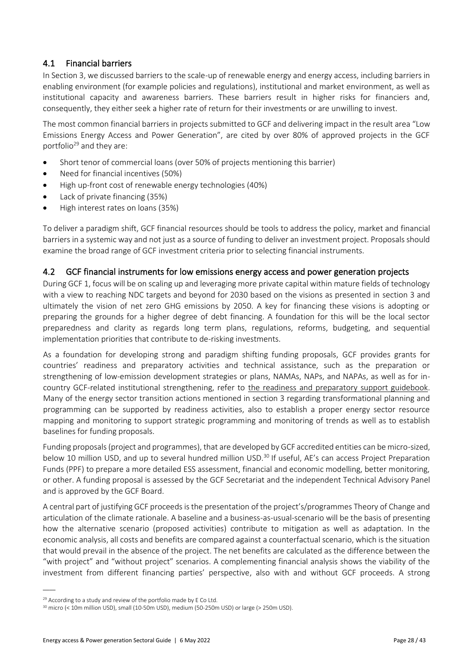## 4.1 Financial barriers

In Section 3, we discussed barriers to the scale-up of renewable energy and energy access, including barriers in enabling environment (for example policies and regulations), institutional and market environment, as well as institutional capacity and awareness barriers. These barriers result in higher risks for financiers and, consequently, they either seek a higher rate of return for their investments or are unwilling to invest.

The most common financial barriers in projects submitted to GCF and delivering impact in the result area "Low Emissions Energy Access and Power Generation", are cited by over 80% of approved projects in the GCF portfolio<sup>29</sup> and they are:

- Short tenor of commercial loans (over 50% of projects mentioning this barrier)
- Need for financial incentives (50%)
- High up-front cost of renewable energy technologies (40%)
- Lack of private financing (35%)
- High interest rates on loans (35%)

To deliver a paradigm shift, GCF financial resources should be tools to address the policy, market and financial barriers in a systemic way and not just as a source of funding to deliver an investment project. Proposals should examine the broad range of GCF investment criteria prior to selecting financial instruments.

#### 4.2 GCF financial instruments for low emissions energy access and power generation projects

During GCF 1, focus will be on scaling up and leveraging more private capital within mature fields of technology with a view to reaching NDC targets and beyond for 2030 based on the visions as presented in section 3 and ultimately the vision of net zero GHG emissions by 2050. A key for financing these visions is adopting or preparing the grounds for a higher degree of debt financing. A foundation for this will be the local sector preparedness and clarity as regards long term plans, regulations, reforms, budgeting, and sequential implementation priorities that contribute to de-risking investments.

As a foundation for developing strong and paradigm shifting funding proposals, GCF provides grants for countries' readiness and preparatory activities and technical assistance, such as the preparation or strengthening of low-emission development strategies or plans, NAMAs, NAPs, and NAPAs, as well as for incountry GCF-related institutional strengthening, refer to [the readiness and preparatory support guidebook.](https://www.greenclimate.fund/document/readiness-and-preparatory-support-guidebook) Many of the energy sector transition actions mentioned in section 3 regarding transformational planning and programming can be supported by readiness activities, also to establish a proper energy sector resource mapping and monitoring to support strategic programming and monitoring of trends as well as to establish baselines for funding proposals.

Funding proposals (project and programmes), that are developed by GCF accredited entities can be micro-sized, below 10 million USD, and up to several hundred million USD.<sup>30</sup> If useful, AE's can access Project Preparation Funds (PPF) to prepare a more detailed ESS assessment, financial and economic modelling, better monitoring, or other. A funding proposal is assessed by the GCF Secretariat and the independent Technical Advisory Panel and is approved by the GCF Board.

A central part of justifying GCF proceeds is the presentation of the project's/programmes Theory of Change and articulation of the climate rationale. A baseline and a business-as-usual-scenario will be the basis of presenting how the alternative scenario (proposed activities) contribute to mitigation as well as adaptation. In the economic analysis, all costs and benefits are compared against a counterfactual scenario, which is the situation that would prevail in the absence of the project. The net benefits are calculated as the difference between the "with project" and "without project" scenarios. A complementing financial analysis shows the viability of the investment from different financing parties' perspective, also with and without GCF proceeds. A strong

 $\overline{a}$ 

<sup>&</sup>lt;sup>29</sup> According to a study and review of the portfolio made by E Co Ltd.

<sup>&</sup>lt;sup>30</sup> micro (< 10m million USD), small (10-50m USD), medium (50-250m USD) or large (> 250m USD).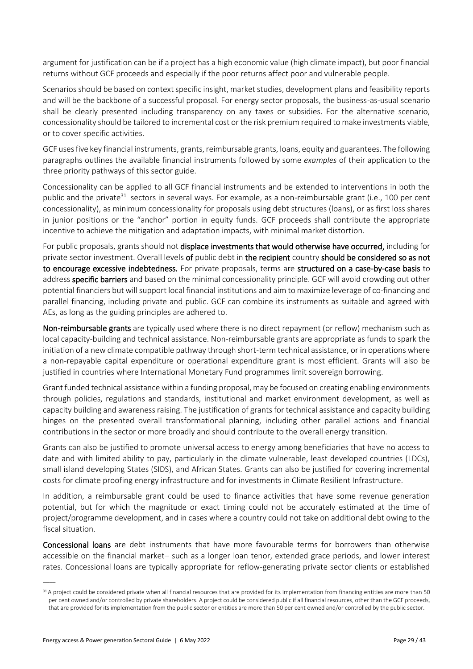argument for justification can be if a project has a high economic value (high climate impact), but poor financial returns without GCF proceeds and especially if the poor returns affect poor and vulnerable people.

Scenarios should be based on context specific insight, market studies, development plans and feasibility reports and will be the backbone of a successful proposal. For energy sector proposals, the business-as-usual scenario shall be clearly presented including transparency on any taxes or subsidies. For the alternative scenario, concessionality should be tailored to incremental cost or the risk premium required to make investments viable, or to cover specific activities.

GCF uses five key financial instruments, grants, reimbursable grants, loans, equity and guarantees. The following paragraphs outlines the available financial instruments followed by some *examples* of their application to the three priority pathways of this sector guide.

Concessionality can be applied to all GCF financial instruments and be extended to interventions in both the public and the private<sup>31</sup> sectors in several ways. For example, as a non-reimbursable grant (i.e., 100 per cent concessionality), as minimum concessionality for proposals using debt structures (loans), or as first loss shares in junior positions or the "anchor" portion in equity funds. GCF proceeds shall contribute the appropriate incentive to achieve the mitigation and adaptation impacts, with minimal market distortion.

For public proposals, grants should not displace investments that would otherwise have occurred, including for private sector investment. Overall levels of public debt in the recipient country should be considered so as not to encourage excessive indebtedness. For private proposals, terms are structured on a case-by-case basis to address specific barriers and based on the minimal concessionality principle. GCF will avoid crowding out other potential financiers but will support local financial institutions and aim to maximize leverage of co-financing and parallel financing, including private and public. GCF can combine its instruments as suitable and agreed with AEs, as long as the guiding principles are adhered to.

Non-reimbursable grants are typically used where there is no direct repayment (or reflow) mechanism such as local capacity-building and technical assistance. Non-reimbursable grants are appropriate as funds to spark the initiation of a new climate compatible pathway through short-term technical assistance, or in operations where a non-repayable capital expenditure or operational expenditure grant is most efficient. Grants will also be justified in countries where International Monetary Fund programmes limit sovereign borrowing.

Grant funded technical assistance within a funding proposal, may be focused on creating enabling environments through policies, regulations and standards, institutional and market environment development, as well as capacity building and awareness raising. The justification of grants for technical assistance and capacity building hinges on the presented overall transformational planning, including other parallel actions and financial contributions in the sector or more broadly and should contribute to the overall energy transition.

Grants can also be justified to promote universal access to energy among beneficiaries that have no access to date and with limited ability to pay, particularly in the climate vulnerable, least developed countries (LDCs), small island developing States (SIDS), and African States. Grants can also be justified for covering incremental costs for climate proofing energy infrastructure and for investments in Climate Resilient Infrastructure.

In addition, a reimbursable grant could be used to finance activities that have some revenue generation potential, but for which the magnitude or exact timing could not be accurately estimated at the time of project/programme development, and in cases where a country could not take on additional debt owing to the fiscal situation.

Concessional loans are debt instruments that have more favourable terms for borrowers than otherwise accessible on the financial market– such as a longer loan tenor, extended grace periods, and lower interest rates. Concessional loans are typically appropriate for reflow-generating private sector clients or established

<sup>31</sup> A project could be considered private when all financial resources that are provided for its implementation from financing entities are more than 50 per cent owned and/or controlled by private shareholders. A project could be considered public if all financial resources, other than the GCF proceeds, that are provided for its implementation from the public sector or entities are more than 50 per cent owned and/or controlled by the public sector.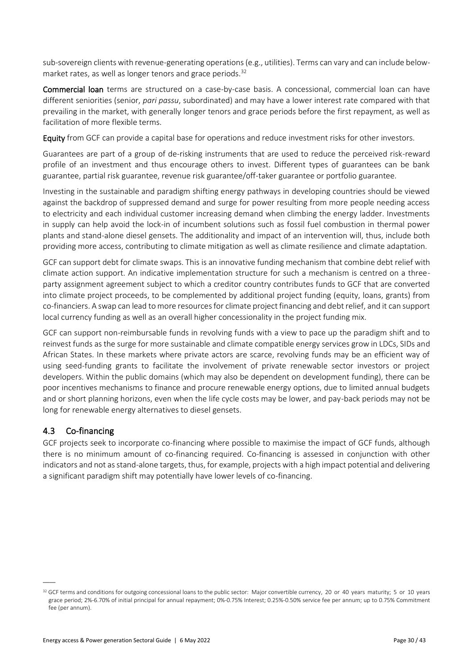sub-sovereign clients with revenue-generating operations (e.g., utilities). Terms can vary and can include belowmarket rates, as well as longer tenors and grace periods.<sup>32</sup>

Commercial loan terms are structured on a case-by-case basis. A concessional, commercial loan can have different seniorities (senior, *pari passu*, subordinated) and may have a lower interest rate compared with that prevailing in the market, with generally longer tenors and grace periods before the first repayment, as well as facilitation of more flexible terms.

Equity from GCF can provide a capital base for operations and reduce investment risks for other investors.

Guarantees are part of a group of de-risking instruments that are used to reduce the perceived risk-reward profile of an investment and thus encourage others to invest. Different types of guarantees can be bank guarantee, partial risk guarantee, revenue risk guarantee/off-taker guarantee or portfolio guarantee.

Investing in the sustainable and paradigm shifting energy pathways in developing countries should be viewed against the backdrop of suppressed demand and surge for power resulting from more people needing access to electricity and each individual customer increasing demand when climbing the energy ladder. Investments in supply can help avoid the lock-in of incumbent solutions such as fossil fuel combustion in thermal power plants and stand-alone diesel gensets. The additionality and impact of an intervention will, thus, include both providing more access, contributing to climate mitigation as well as climate resilience and climate adaptation.

GCF can support debt for climate swaps. This is an innovative funding mechanism that combine debt relief with climate action support. An indicative implementation structure for such a mechanism is centred on a threeparty assignment agreement subject to which a creditor country contributes funds to GCF that are converted into climate project proceeds, to be complemented by additional project funding (equity, loans, grants) from co-financiers. A swap can lead to more resources for climate project financing and debt relief, and it can support local currency funding as well as an overall higher concessionality in the project funding mix.

GCF can support non-reimbursable funds in revolving funds with a view to pace up the paradigm shift and to reinvest funds as the surge for more sustainable and climate compatible energy services grow in LDCs, SIDs and African States. In these markets where private actors are scarce, revolving funds may be an efficient way of using seed-funding grants to facilitate the involvement of private renewable sector investors or project developers. Within the public domains (which may also be dependent on development funding), there can be poor incentives mechanisms to finance and procure renewable energy options, due to limited annual budgets and or short planning horizons, even when the life cycle costs may be lower, and pay-back periods may not be long for renewable energy alternatives to diesel gensets.

## 4.3 Co-financing

 $\overline{\phantom{a}}$ 

GCF projects seek to incorporate co-financing where possible to maximise the impact of GCF funds, although there is no minimum amount of co-financing required. Co-financing is assessed in conjunction with other indicators and not as stand-alone targets, thus, for example, projects with a high impact potential and delivering a significant paradigm shift may potentially have lower levels of co-financing.

<sup>32</sup> GCF terms and conditions for outgoing concessional loans to the public sector: Major convertible currency, 20 or 40 years maturity; 5 or 10 years grace period; 2%-6.70% of initial principal for annual repayment; 0%-0.75% Interest; 0.25%-0.50% service fee per annum; up to 0.75% Commitment fee (per annum).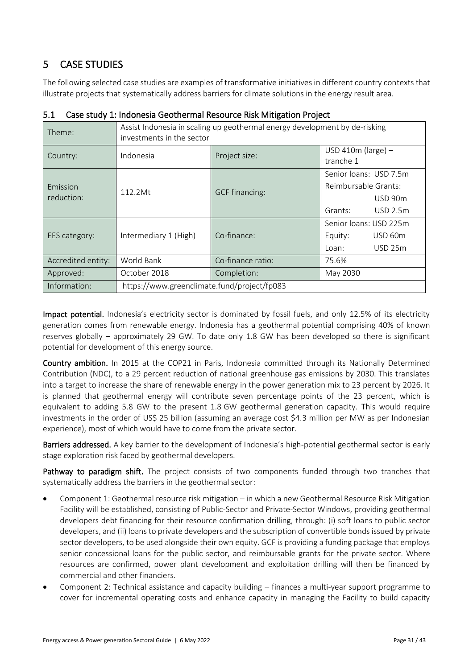# <span id="page-32-0"></span>5 CASE STUDIES

The following selected case studies are examples of transformative initiatives in different country contexts that illustrate projects that systematically address barriers for climate solutions in the energy result area.

| Theme:                 | Assist Indonesia in scaling up geothermal energy development by de-risking<br>investments in the sector |                       |                                                           |                           |
|------------------------|---------------------------------------------------------------------------------------------------------|-----------------------|-----------------------------------------------------------|---------------------------|
| Country:               | Indonesia                                                                                               | Project size:         | USD 410 $m$ (large) -<br>tranche 1                        |                           |
| Emission<br>reduction: | 112.2Mt                                                                                                 | <b>GCF</b> financing: | Senior loans: USD 7.5m<br>Reimbursable Grants:<br>Grants: | USD 90m<br>USD 2.5m       |
| EES category:          | Intermediary 1 (High)                                                                                   | Co-finance:           | Senior loans: USD 225m<br>Equity:<br>Loan:                | USD 60m<br><b>USD 25m</b> |
| Accredited entity:     | World Bank                                                                                              | Co-finance ratio:     | 75.6%                                                     |                           |
| Approved:              | October 2018                                                                                            | Completion:           | May 2030                                                  |                           |
| Information:           | https://www.greenclimate.fund/project/fp083                                                             |                       |                                                           |                           |

5.1 Case study 1: Indonesia Geothermal Resource Risk Mitigation Project

Impact potential. Indonesia's electricity sector is dominated by fossil fuels, and only 12.5% of its electricity generation comes from renewable energy. Indonesia has a geothermal potential comprising 40% of known reserves globally – approximately 29 GW. To date only 1.8 GW has been developed so there is significant potential for development of this energy source.

Country ambition. In 2015 at the COP21 in Paris, Indonesia committed through its Nationally Determined Contribution (NDC), to a 29 percent reduction of national greenhouse gas emissions by 2030. This translates into a target to increase the share of renewable energy in the power generation mix to 23 percent by 2026. It is planned that geothermal energy will contribute seven percentage points of the 23 percent, which is equivalent to adding 5.8 GW to the present 1.8 GW geothermal generation capacity. This would require investments in the order of US\$ 25 billion (assuming an average cost \$4.3 million per MW as per Indonesian experience), most of which would have to come from the private sector.

Barriers addressed. A key barrier to the development of Indonesia's high-potential geothermal sector is early stage exploration risk faced by geothermal developers.

Pathway to paradigm shift. The project consists of two components funded through two tranches that systematically address the barriers in the geothermal sector:

- Component 1: Geothermal resource risk mitigation in which a new Geothermal Resource Risk Mitigation Facility will be established, consisting of Public-Sector and Private-Sector Windows, providing geothermal developers debt financing for their resource confirmation drilling, through: (i) soft loans to public sector developers, and (ii) loans to private developers and the subscription of convertible bonds issued by private sector developers, to be used alongside their own equity. GCF is providing a funding package that employs senior concessional loans for the public sector, and reimbursable grants for the private sector. Where resources are confirmed, power plant development and exploitation drilling will then be financed by commercial and other financiers.
- Component 2: Technical assistance and capacity building finances a multi-year support programme to cover for incremental operating costs and enhance capacity in managing the Facility to build capacity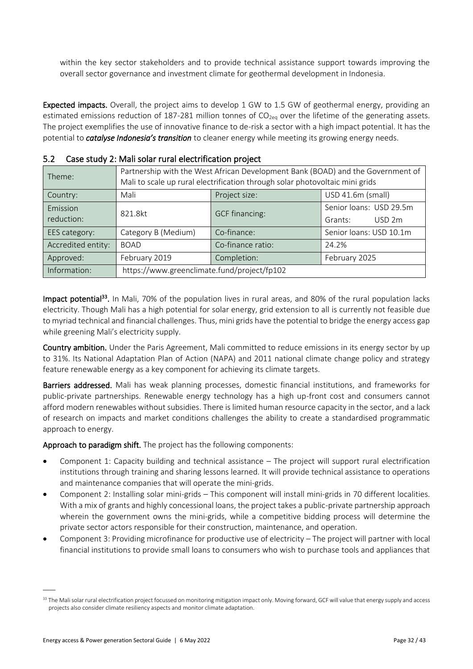within the key sector stakeholders and to provide technical assistance support towards improving the overall sector governance and investment climate for geothermal development in Indonesia.

Expected impacts. Overall, the project aims to develop 1 GW to 1.5 GW of geothermal energy, providing an estimated emissions reduction of 187-281 million tonnes of  $CO<sub>2eq</sub>$  over the lifetime of the generating assets. The project exemplifies the use of innovative finance to de-risk a sector with a high impact potential. It has the potential to *catalyse Indonesia's transition* to cleaner energy while meeting its growing energy needs.

| Theme:                 | Partnership with the West African Development Bank (BOAD) and the Government of<br>Mali to scale up rural electrification through solar photovoltaic mini grids |                       |                                              |  |  |
|------------------------|-----------------------------------------------------------------------------------------------------------------------------------------------------------------|-----------------------|----------------------------------------------|--|--|
| Country:               | Mali                                                                                                                                                            | Project size:         | USD 41.6m (small)                            |  |  |
| Emission<br>reduction: | 821.8kt                                                                                                                                                         | <b>GCF</b> financing: | Senior loans: USD 29.5m<br>USD 2m<br>Grants: |  |  |
| EES category:          | Category B (Medium)                                                                                                                                             | Co-finance:           | Senior loans: USD 10.1m                      |  |  |
| Accredited entity:     | <b>BOAD</b>                                                                                                                                                     | Co-finance ratio:     | 24.2%                                        |  |  |
| Approved:              | February 2019                                                                                                                                                   | Completion:           | February 2025                                |  |  |
| Information:           | https://www.greenclimate.fund/project/fp102                                                                                                                     |                       |                                              |  |  |

|  |  |  |  | 5.2 Case study 2: Mali solar rural electrification project |  |
|--|--|--|--|------------------------------------------------------------|--|
|--|--|--|--|------------------------------------------------------------|--|

**Impact potential<sup>33</sup>.** In Mali, 70% of the population lives in rural areas, and 80% of the rural population lacks electricity. Though Mali has a high potential for solar energy, grid extension to all is currently not feasible due to myriad technical and financial challenges. Thus, mini grids have the potential to bridge the energy access gap while greening Mali's electricity supply.

Country ambition. Under the Paris Agreement, Mali committed to reduce emissions in its energy sector by up to 31%. Its National Adaptation Plan of Action (NAPA) and 2011 national climate change policy and strategy feature renewable energy as a key component for achieving its climate targets.

Barriers addressed. Mali has weak planning processes, domestic financial institutions, and frameworks for public-private partnerships. Renewable energy technology has a high up-front cost and consumers cannot afford modern renewables without subsidies. There is limited human resource capacity in the sector, and a lack of research on impacts and market conditions challenges the ability to create a standardised programmatic approach to energy.

Approach to paradigm shift. The project has the following components:

- Component 1: Capacity building and technical assistance The project will support rural electrification institutions through training and sharing lessons learned. It will provide technical assistance to operations and maintenance companies that will operate the mini-grids.
- Component 2: Installing solar mini-grids This component will install mini-grids in 70 different localities. With a mix of grants and highly concessional loans, the project takes a public-private partnership approach wherein the government owns the mini-grids, while a competitive bidding process will determine the private sector actors responsible for their construction, maintenance, and operation.
- Component 3: Providing microfinance for productive use of electricity The project will partner with local financial institutions to provide small loans to consumers who wish to purchase tools and appliances that

 $\overline{a}$ 

<sup>33</sup> The Mali solar rural electrification project focussed on monitoring mitigation impact only. Moving forward, GCF will value that energy supply and access projects also consider climate resiliency aspects and monitor climate adaptation.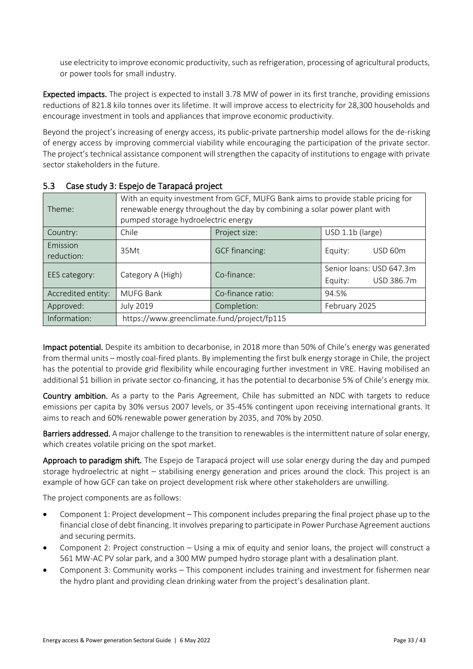use electricity to improve economic productivity, such as refrigeration, processing of agricultural products, or power tools for small industry.

Expected impacts. The project is expected to install 3.78 MW of power in its first tranche, providing emissions reductions of 821.8 kilo tonnes over its lifetime. It will improve access to electricity for 28,300 households and encourage investment in tools and appliances that improve economic productivity.

Beyond the project's increasing of energy access, its public-private partnership model allows for the de-risking of energy access by improving commercial viability while encouraging the participation of the private sector. The project's technical assistance component will strengthen the capacity of institutions to engage with private sector stakeholders in the future.

| Theme:                 | With an equity investment from GCF, MUFG Bank aims to provide stable pricing for<br>renewable energy throughout the day by combining a solar power plant with<br>pumped storage hydroelectric energy |                       |                                                   |  |
|------------------------|------------------------------------------------------------------------------------------------------------------------------------------------------------------------------------------------------|-----------------------|---------------------------------------------------|--|
| Country:               | Chile<br>Project size:<br>USD 1.1b (large)                                                                                                                                                           |                       |                                                   |  |
| Emission<br>reduction: | 35Mt                                                                                                                                                                                                 | <b>GCF</b> financing: | USD 60m<br>Equity:                                |  |
| EES category:          | Category A (High)                                                                                                                                                                                    | Co-finance:           | Senior loans: USD 647.3m<br>USD 386.7m<br>Equity: |  |
| Accredited entity:     | <b>MUFG Bank</b>                                                                                                                                                                                     | Co-finance ratio:     | 94.5%                                             |  |
| Approved:              | <b>July 2019</b>                                                                                                                                                                                     | Completion:           | February 2025                                     |  |
| Information:           | https://www.greenclimate.fund/project/fp115                                                                                                                                                          |                       |                                                   |  |

## 5.3 Case study 3: Espejo de Tarapacá project

Impact potential. Despite its ambition to decarbonise, in 2018 more than 50% of Chile's energy was generated from thermal units – mostly coal-fired plants. By implementing the first bulk energy storage in Chile, the project has the potential to provide grid flexibility while encouraging further investment in VRE. Having mobilised an additional \$1 billion in private sector co-financing, it has the potential to decarbonise 5% of Chile's energy mix.

Country ambition. As a party to the Paris Agreement, Chile has submitted an NDC with targets to reduce emissions per capita by 30% versus 2007 levels, or 35-45% contingent upon receiving international grants. It aims to reach and 60% renewable power generation by 2035, and 70% by 2050.

Barriers addressed. A major challenge to the transition to renewables is the intermittent nature of solar energy, which creates volatile pricing on the spot market.

Approach to paradigm shift. The Espejo de Tarapacá project will use solar energy during the day and pumped storage hydroelectric at night – stabilising energy generation and prices around the clock. This project is an example of how GCF can take on project development risk where other stakeholders are unwilling.

The project components are as follows:

- Component 1: Project development This component includes preparing the final project phase up to the financial close of debt financing. It involves preparing to participate in Power Purchase Agreement auctions and securing permits.
- Component 2: Project construction Using a mix of equity and senior loans, the project will construct a 561 MW-AC PV solar park, and a 300 MW pumped hydro storage plant with a desalination plant.
- Component 3: Community works This component includes training and investment for fishermen near the hydro plant and providing clean drinking water from the project's desalination plant.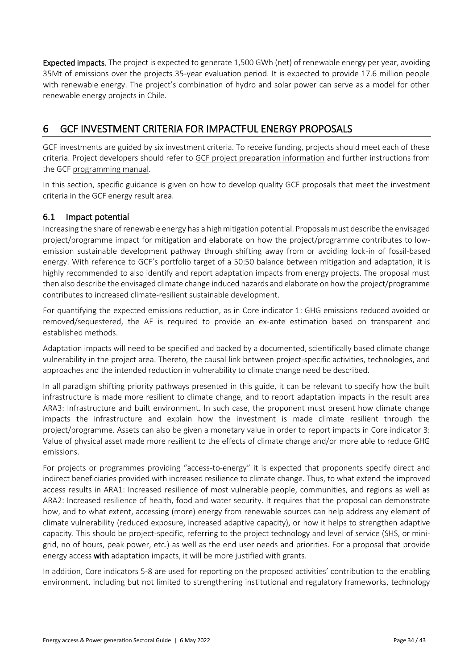Expected impacts. The project is expected to generate 1,500 GWh (net) of renewable energy per year, avoiding 35Mt of emissions over the projects 35-year evaluation period. It is expected to provide 17.6 million people with renewable energy. The project's combination of hydro and solar power can serve as a model for other renewable energy projects in Chile.

# <span id="page-35-0"></span>6 GCF INVESTMENT CRITERIA FOR IMPACTFUL ENERGY PROPOSALS

GCF investments are guided by six investment criteria. To receive funding, projects should meet each of these criteria. Project developers should refer to [GCF project preparation information](https://www.greenclimate.fund/projects/process) and further instructions from the GC[F programming manual.](https://www.greenclimate.fund/document/programming-manual)

In this section, specific guidance is given on how to develop quality GCF proposals that meet the investment criteria in the GCF energy result area.

## 6.1 Impact potential

Increasing the share of renewable energy has a highmitigation potential. Proposals must describe the envisaged project/programme impact for mitigation and elaborate on how the project/programme contributes to lowemission sustainable development pathway through shifting away from or avoiding lock-in of fossil-based energy. With reference to GCF's portfolio target of a 50:50 balance between mitigation and adaptation, it is highly recommended to also identify and report adaptation impacts from energy projects. The proposal must then also describe the envisaged climate change induced hazards and elaborate on how the project/programme contributes to increased climate-resilient sustainable development.

For quantifying the expected emissions reduction, as in Core indicator 1: GHG emissions reduced avoided or removed/sequestered, the AE is required to provide an ex-ante estimation based on transparent and established methods.

Adaptation impacts will need to be specified and backed by a documented, scientifically based climate change vulnerability in the project area. Thereto, the causal link between project-specific activities, technologies, and approaches and the intended reduction in vulnerability to climate change need be described.

In all paradigm shifting priority pathways presented in this guide, it can be relevant to specify how the built infrastructure is made more resilient to climate change, and to report adaptation impacts in the result area ARA3: Infrastructure and built environment. In such case, the proponent must present how climate change impacts the infrastructure and explain how the investment is made climate resilient through the project/programme. Assets can also be given a monetary value in order to report impacts in Core indicator 3: Value of physical asset made more resilient to the effects of climate change and/or more able to reduce GHG emissions.

For projects or programmes providing "access-to-energy" it is expected that proponents specify direct and indirect beneficiaries provided with increased resilience to climate change. Thus, to what extend the improved access results in ARA1: Increased resilience of most vulnerable people, communities, and regions as well as ARA2: Increased resilience of health, food and water security. It requires that the proposal can demonstrate how, and to what extent, accessing (more) energy from renewable sources can help address any element of climate vulnerability (reduced exposure, increased adaptive capacity), or how it helps to strengthen adaptive capacity. This should be project-specific, referring to the project technology and level of service (SHS, or minigrid, no of hours, peak power, etc.) as well as the end user needs and priorities. For a proposal that provide energy access with adaptation impacts, it will be more justified with grants.

In addition, Core indicators 5-8 are used for reporting on the proposed activities' contribution to the enabling environment, including but not limited to strengthening institutional and regulatory frameworks, technology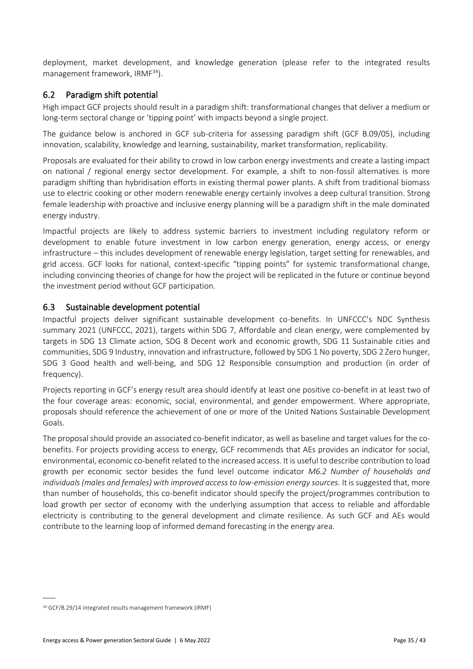deployment, market development, and knowledge generation (please refer to the integrated results management framework, IRMF<sup>34</sup>).

## 6.2 Paradigm shift potential

High impact GCF projects should result in a paradigm shift: transformational changes that deliver a medium or long-term sectoral change or 'tipping point' with impacts beyond a single project.

The guidance below is anchored in GCF sub-criteria for assessing paradigm shift (GCF B.09/05), including innovation, scalability, knowledge and learning, sustainability, market transformation, replicability.

Proposals are evaluated for their ability to crowd in low carbon energy investments and create a lasting impact on national / regional energy sector development. For example, a shift to non-fossil alternatives is more paradigm shifting than hybridisation efforts in existing thermal power plants. A shift from traditional biomass use to electric cooking or other modern renewable energy certainly involves a deep cultural transition. Strong female leadership with proactive and inclusive energy planning will be a paradigm shift in the male dominated energy industry.

Impactful projects are likely to address systemic barriers to investment including regulatory reform or development to enable future investment in low carbon energy generation, energy access, or energy infrastructure – this includes development of renewable energy legislation, target setting for renewables, and grid access. GCF looks for national, context-specific "tipping points" for systemic transformational change, including convincing theories of change for how the project will be replicated in the future or continue beyond the investment period without GCF participation.

#### 6.3 Sustainable development potential

Impactful projects deliver significant sustainable development co-benefits. In UNFCCC's NDC Synthesis summary 2021 (UNFCCC, 2021), targets within SDG 7, Affordable and clean energy, were complemented by targets in SDG 13 Climate action, SDG 8 Decent work and economic growth, SDG 11 Sustainable cities and communities, SDG 9 Industry, innovation and infrastructure, followed by SDG 1 No poverty, SDG 2 Zero hunger, SDG 3 Good health and well-being, and SDG 12 Responsible consumption and production (in order of frequency).

Projects reporting in GCF's energy result area should identify at least one positive co-benefit in at least two of the four coverage areas: economic, social, environmental, and gender empowerment. Where appropriate, proposals should reference the achievement of one or more of the United Nations Sustainable Development Goals.

The proposal should provide an associated co-benefit indicator, as well as baseline and target values for the cobenefits. For projects providing access to energy, GCF recommends that AEs provides an indicator for social, environmental, economic co-benefit related to the increased access. It is useful to describe contribution to load growth per economic sector besides the fund level outcome indicator *M6.2 Number of households and individuals (males and females) with improved access to low-emission energy sources.* It is suggested that, more than number of households, this co-benefit indicator should specify the project/programmes contribution to load growth per sector of economy with the underlying assumption that access to reliable and affordable electricity is contributing to the general development and climate resilience. As such GCF and AEs would contribute to the learning loop of informed demand forecasting in the energy area.

<sup>34</sup> GCF/B.29/14 Integrated results management framework (IRMF)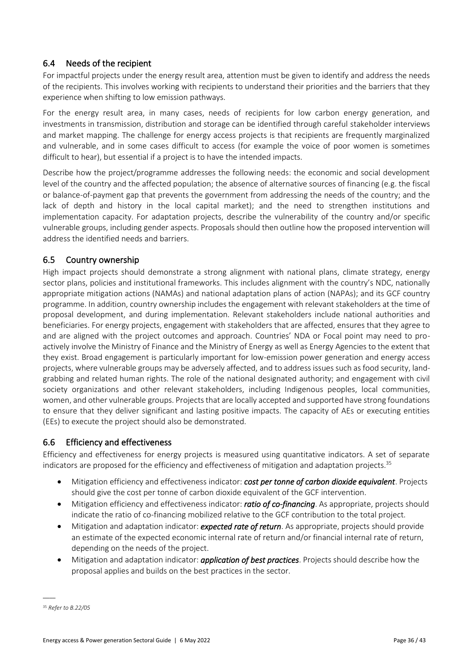## 6.4 Needs of the recipient

For impactful projects under the energy result area, attention must be given to identify and address the needs of the recipients. This involves working with recipients to understand their priorities and the barriers that they experience when shifting to low emission pathways.

For the energy result area, in many cases, needs of recipients for low carbon energy generation, and investments in transmission, distribution and storage can be identified through careful stakeholder interviews and market mapping. The challenge for energy access projects is that recipients are frequently marginalized and vulnerable, and in some cases difficult to access (for example the voice of poor women is sometimes difficult to hear), but essential if a project is to have the intended impacts.

Describe how the project/programme addresses the following needs: the economic and social development level of the country and the affected population; the absence of alternative sources of financing (e.g. the fiscal or balance-of-payment gap that prevents the government from addressing the needs of the country; and the lack of depth and history in the local capital market); and the need to strengthen institutions and implementation capacity. For adaptation projects, describe the vulnerability of the country and/or specific vulnerable groups, including gender aspects. Proposals should then outline how the proposed intervention will address the identified needs and barriers.

## 6.5 Country ownership

High impact projects should demonstrate a strong alignment with national plans, climate strategy, energy sector plans, policies and institutional frameworks. This includes alignment with the country's NDC, nationally appropriate mitigation actions (NAMAs) and national adaptation plans of action (NAPAs); and its GCF country programme. In addition, country ownership includes the engagement with relevant stakeholders at the time of proposal development, and during implementation. Relevant stakeholders include national authorities and beneficiaries. For energy projects, engagement with stakeholders that are affected, ensures that they agree to and are aligned with the project outcomes and approach. Countries' NDA or Focal point may need to proactively involve the Ministry of Finance and the Ministry of Energy as well as Energy Agencies to the extent that they exist. Broad engagement is particularly important for low-emission power generation and energy access projects, where vulnerable groups may be adversely affected, and to address issues such as food security, landgrabbing and related human rights. The role of the national designated authority; and engagement with civil society organizations and other relevant stakeholders, including Indigenous peoples, local communities, women, and other vulnerable groups. Projects that are locally accepted and supported have strong foundations to ensure that they deliver significant and lasting positive impacts. The capacity of AEs or executing entities (EEs) to execute the project should also be demonstrated.

## 6.6 Efficiency and effectiveness

Efficiency and effectiveness for energy projects is measured using quantitative indicators. A set of separate indicators are proposed for the efficiency and effectiveness of mitigation and adaptation projects.<sup>35</sup>

- Mitigation efficiency and effectiveness indicator: *cost per tonne of carbon dioxide equivalent*. Projects should give the cost per tonne of carbon dioxide equivalent of the GCF intervention.
- Mitigation efficiency and effectiveness indicator: *ratio of co-financing*. As appropriate, projects should indicate the ratio of co-financing mobilized relative to the GCF contribution to the total project.
- Mitigation and adaptation indicator: *expected rate of return*. As appropriate, projects should provide an estimate of the expected economic internal rate of return and/or financial internal rate of return, depending on the needs of the project.
- Mitigation and adaptation indicator: *application of best practices*. Projects should describe how the proposal applies and builds on the best practices in the sector.

<sup>35</sup> *Refer to B.22/05*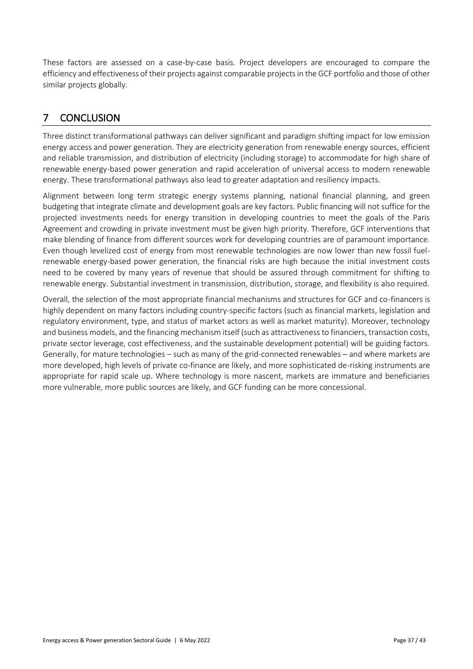These factors are assessed on a case-by-case basis. Project developers are encouraged to compare the efficiency and effectiveness of their projects against comparable projects in the GCF portfolio and those of other similar projects globally.

# <span id="page-38-0"></span>7 CONCLUSION

Three distinct transformational pathways can deliver significant and paradigm shifting impact for low emission energy access and power generation. They are electricity generation from renewable energy sources, efficient and reliable transmission, and distribution of electricity (including storage) to accommodate for high share of renewable energy-based power generation and rapid acceleration of universal access to modern renewable energy. These transformational pathways also lead to greater adaptation and resiliency impacts.

Alignment between long term strategic energy systems planning, national financial planning, and green budgeting that integrate climate and development goals are key factors. Public financing will not suffice for the projected investments needs for energy transition in developing countries to meet the goals of the Paris Agreement and crowding in private investment must be given high priority. Therefore, GCF interventions that make blending of finance from different sources work for developing countries are of paramount importance. Even though levelized cost of energy from most renewable technologies are now lower than new fossil fuelrenewable energy-based power generation, the financial risks are high because the initial investment costs need to be covered by many years of revenue that should be assured through commitment for shifting to renewable energy. Substantial investment in transmission, distribution, storage, and flexibility is also required.

Overall, the selection of the most appropriate financial mechanisms and structures for GCF and co-financers is highly dependent on many factors including country-specific factors (such as financial markets, legislation and regulatory environment, type, and status of market actors as well as market maturity). Moreover, technology and business models, and the financing mechanism itself (such as attractiveness to financiers, transaction costs, private sector leverage, cost effectiveness, and the sustainable development potential) will be guiding factors. Generally, for mature technologies – such as many of the grid-connected renewables – and where markets are more developed, high levels of private co-finance are likely, and more sophisticated de-risking instruments are appropriate for rapid scale up. Where technology is more nascent, markets are immature and beneficiaries more vulnerable, more public sources are likely, and GCF funding can be more concessional.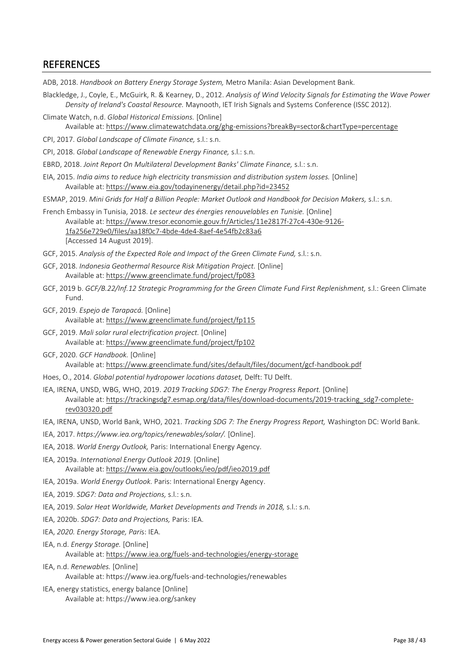## <span id="page-39-0"></span>**REFERENCES**

ADB, 2018. *Handbook on Battery Energy Storage System,* Metro Manila: Asian Development Bank.

- Blackledge, J., Coyle, E., McGuirk, R. & Kearney, D., 2012. *Analysis of Wind Velocity Signals for Estimating the Wave Power Density of Ireland's Coastal Resource.* Maynooth, IET Irish Signals and Systems Conference (ISSC 2012).
- Climate Watch, n.d. *Global Historical Emissions.* [Online] Available at: https://www.climatewatchdata.org/ghg-emissions?breakBy=sector&chartType=percentage
- CPI, 2017. *Global Landscape of Climate Finance,* s.l.: s.n.
- CPI, 2018. *Global Landscape of Renewable Energy Finance,* s.l.: s.n.
- EBRD, 2018. *Joint Report On Multilateral Development Banks' Climate Finance,* s.l.: s.n.
- EIA, 2015. *India aims to reduce high electricity transmission and distribution system losses.* [Online] Available at: https://www.eia.gov/todayinenergy/detail.php?id=23452
- ESMAP, 2019. *Mini Grids for Half a Billion People: Market Outlook and Handbook for Decision Makers,* s.l.: s.n.
- French Embassy in Tunisia, 2018. *Le secteur des énergies renouvelables en Tunisie.* [Online] Available at: https://www.tresor.economie.gouv.fr/Articles/11e2817f-27c4-430e-9126- 1fa256e729e0/files/aa18f0c7-4bde-4de4-8aef-4e54fb2c83a6 [Accessed 14 August 2019].
- GCF, 2015. *Analysis of the Expected Role and Impact of the Green Climate Fund,* s.l.: s.n.
- GCF, 2018. *Indonesia Geothermal Resource Risk Mitigation Project.* [Online] Available at: https://www.greenclimate.fund/project/fp083
- GCF, 2019 b. *GCF/B.22/Inf.12 Strategic Programming for the Green Climate Fund First Replenishment,* s.l.: Green Climate Fund.
- GCF, 2019. *Espejo de Tarapacá.* [Online] Available at: https://www.greenclimate.fund/project/fp115
- GCF, 2019. *Mali solar rural electrification project.* [Online] Available at: https://www.greenclimate.fund/project/fp102
- GCF, 2020. *GCF Handbook.* [Online] Available at: https://www.greenclimate.fund/sites/default/files/document/gcf-handbook.pdf
- Hoes, O., 2014. *Global potential hydropower locations dataset,* Delft: TU Delft.
- IEA, IRENA, UNSD, WBG, WHO, 2019. *2019 Tracking SDG7: The Energy Progress Report.* [Online] Available at: https://trackingsdg7.esmap.org/data/files/download-documents/2019-tracking\_sdg7-completerev030320.pdf
- IEA, IRENA, UNSD, World Bank, WHO, 2021. *Tracking SDG 7: The Energy Progress Report,* Washington DC: World Bank.
- IEA, 2017. *https://www.iea.org/topics/renewables/solar/.* [Online].
- IEA, 2018. *World Energy Outlook,* Paris: International Energy Agency.
- IEA, 2019a. *International Energy Outlook 2019.* [Online] Available at: https://www.eia.gov/outlooks/ieo/pdf/ieo2019.pdf
- IEA, 2019a. *World Energy Outlook.* Paris: International Energy Agency.
- IEA, 2019. *SDG7: Data and Projections,* s.l.: s.n.
- IEA, 2019. *Solar Heat Worldwide, Market Developments and Trends in 2018,* s.l.: s.n.
- IEA, 2020b. *SDG7: Data and Projections,* Paris: IEA.
- IEA, *2020. Energy Storage, Pari*s: IEA.
- IEA, n.d. *Energy Storage.* [Online] Available at: https://www.iea.org/fuels-and-technologies/energy-storage
- IEA, n.d. *Renewables.* [Online] Available at: https://www.iea.org/fuels-and-technologies/renewables
- IEA, energy statistics, energy balance [Online] Available at: https://www.iea.org/sankey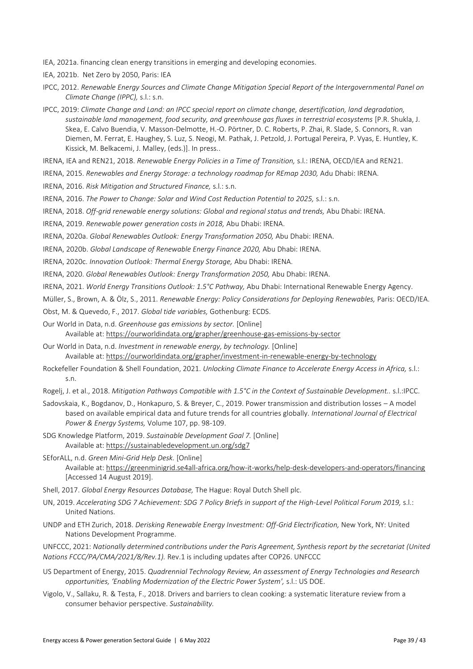IEA, 2021a. financing clean energy transitions in emerging and developing economies.

IEA, 2021b. Net Zero by 2050, Paris: IEA

- IPCC, 2012. *Renewable Energy Sources and Climate Change Mitigation Special Report of the Intergovernmental Panel on Climate Change (IPPC),* s.l.: s.n.
- IPCC, 2019: *Climate Change and Land: an IPCC special report on climate change, desertification, land degradation, sustainable land management, food security, and greenhouse gas fluxes in terrestrial ecosystems* [P.R. Shukla, J. Skea, E. Calvo Buendia, V. Masson-Delmotte, H.-O. Pörtner, D. C. Roberts, P. Zhai, R. Slade, S. Connors, R. van Diemen, M. Ferrat, E. Haughey, S. Luz, S. Neogi, M. Pathak, J. Petzold, J. Portugal Pereira, P. Vyas, E. Huntley, K. Kissick, M. Belkacemi, J. Malley, (eds.)]. In press..
- IRENA, IEA and REN21, 2018. *Renewable Energy Policies in a Time of Transition,* s.l.: IRENA, OECD/IEA and REN21.
- IRENA, 2015. *Renewables and Energy Storage: a technology roadmap for REmap 2030,* Adu Dhabi: IRENA.
- IRENA, 2016. *Risk Mitigation and Structured Finance,* s.l.: s.n.
- IRENA, 2016. *The Power to Change: Solar and Wind Cost Reduction Potential to 2025,* s.l.: s.n.
- IRENA, 2018. *Off-grid renewable energy solutions: Global and regional status and trends,* Abu Dhabi: IRENA.
- IRENA, 2019. *Renewable power generation costs in 2018,* Abu Dhabi: IRENA.
- IRENA, 2020a. *Global Renewables Outlook: Energy Transformation 2050,* Abu Dhabi: IRENA.
- IRENA, 2020b. *Global Landscape of Renewable Energy Finance 2020,* Abu Dhabi: IRENA.
- IRENA, 2020c. *Innovation Outlook: Thermal Energy Storage,* Abu Dhabi: IRENA.
- IRENA, 2020. *Global Renewables Outlook: Energy Transformation 2050,* Abu Dhabi: IRENA.

IRENA, 2021. *World Energy Transitions Outlook: 1.5°C Pathway,* Abu Dhabi: International Renewable Energy Agency.

- Müller, S., Brown, A. & Ölz, S., 2011. *Renewable Energy: Policy Considerations for Deploying Renewables,* Paris: OECD/IEA.
- Obst, M. & Quevedo, F., 2017. *Global tide variables,* Gothenburg: ECDS.

Our World in Data, n.d. *Greenhouse gas emissions by sector.* [Online] Available at: https://ourworldindata.org/grapher/greenhouse-gas-emissions-by-sector

- Our World in Data, n.d. *Investment in renewable energy, by technology.* [Online] Available at: https://ourworldindata.org/grapher/investment-in-renewable-energy-by-technology
- Rockefeller Foundation & Shell Foundation, 2021. *Unlocking Climate Finance to Accelerate Energy Access in Africa,* s.l.: s.n.
- Rogelj, J. et al., 2018. Mitigation Pathways Compatible with 1.5°C in the Context of Sustainable Development.. s.l.:IPCC.
- Sadovskaia, K., Bogdanov, D., Honkapuro, S. & Breyer, C., 2019. Power transmission and distribution losses A model based on available empirical data and future trends for all countries globally. *International Journal of Electrical Power & Energy Systems,* Volume 107, pp. 98-109.
- SDG Knowledge Platform, 2019. *Sustainable Development Goal 7.* [Online] Available at: https://sustainabledevelopment.un.org/sdg7
- SEforALL, n.d. *Green Mini-Grid Help Desk.* [Online] Available at: https://greenminigrid.se4all-africa.org/how-it-works/help-desk-developers-and-operators/financing [Accessed 14 August 2019].
- Shell, 2017. *Global Energy Resources Database,* The Hague: Royal Dutch Shell plc.
- UN, 2019. Accelerating SDG 7 Achievement: SDG 7 Policy Briefs in support of the High-Level Political Forum 2019, s.l.: United Nations.
- UNDP and ETH Zurich, 2018. *Derisking Renewable Energy Investment: Off-Grid Electrification,* New York, NY: United Nations Development Programme.
- UNFCCC, 2021: *Nationally determined contributions under the Paris Agreement, Synthesis report by the secretariat (United Nations FCCC/PA/CMA/2021/8/Rev.1).* Rev.1 is including updates after COP26. UNFCCC
- US Department of Energy, 2015. *Quadrennial Technology Review, An assessment of Energy Technologies and Research opportunities, 'Enabling Modernization of the Electric Power System',* s.l.: US DOE.
- Vigolo, V., Sallaku, R. & Testa, F., 2018. Drivers and barriers to clean cooking: a systematic literature review from a consumer behavior perspective. *Sustainability.*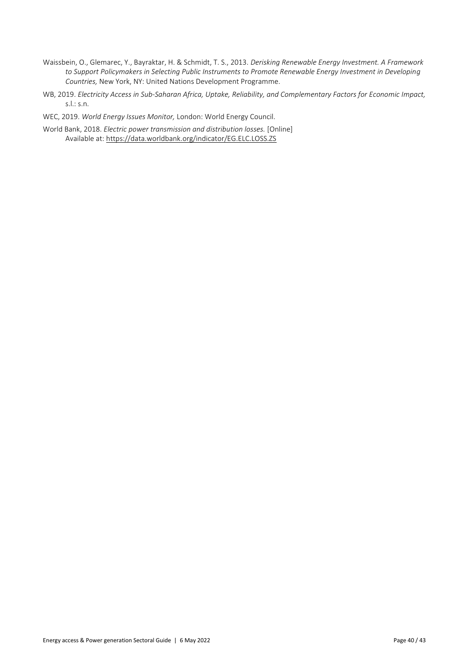- Waissbein, O., Glemarec, Y., Bayraktar, H. & Schmidt, T. S., 2013. *Derisking Renewable Energy Investment. A Framework to Support Policymakers in Selecting Public Instruments to Promote Renewable Energy Investment in Developing Countries,* New York, NY: United Nations Development Programme.
- WB, 2019. *Electricity Access in Sub-Saharan Africa, Uptake, Reliability, and Complementary Factors for Economic Impact,*  s.l.: s.n.

WEC, 2019. *World Energy Issues Monitor,* London: World Energy Council.

World Bank, 2018. *Electric power transmission and distribution losses.* [Online] Available at: https://data.worldbank.org/indicator/EG.ELC.LOSS.ZS